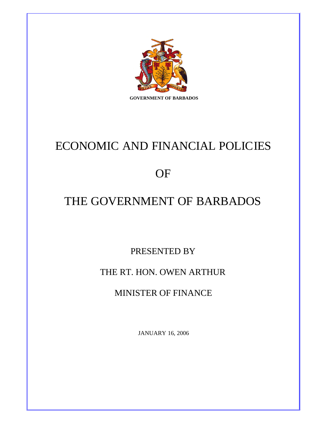

# ECONOMIC AND FINANCIAL POLICIES

## **OF**

## THE GOVERNMENT OF BARBADOS

PRESENTED BY

## THE RT. HON. OWEN ARTHUR

MINISTER OF FINANCE

JANUARY 16, 2006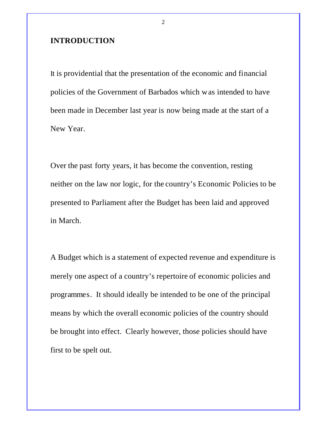#### **INTRODUCTION**

It is providential that the presentation of the economic and financial policies of the Government of Barbados which was intended to have been made in December last year is now being made at the start of a New Year.

Over the past forty years, it has become the convention, resting neither on the law nor logic, for the country's Economic Policies to be presented to Parliament after the Budget has been laid and approved in March.

A Budget which is a statement of expected revenue and expenditure is merely one aspect of a country's repertoire of economic policies and programmes. It should ideally be intended to be one of the principal means by which the overall economic policies of the country should be brought into effect. Clearly however, those policies should have first to be spelt out.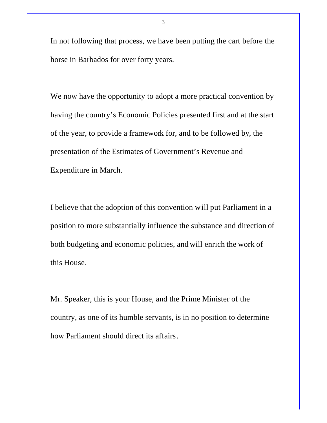In not following that process, we have been putting the cart before the horse in Barbados for over forty years.

We now have the opportunity to adopt a more practical convention by having the country's Economic Policies presented first and at the start of the year, to provide a framework for, and to be followed by, the presentation of the Estimates of Government's Revenue and Expenditure in March.

I believe that the adoption of this convention will put Parliament in a position to more substantially influence the substance and direction of both budgeting and economic policies, and will enrich the work of this House.

Mr. Speaker, this is your House, and the Prime Minister of the country, as one of its humble servants, is in no position to determine how Parliament should direct its affairs.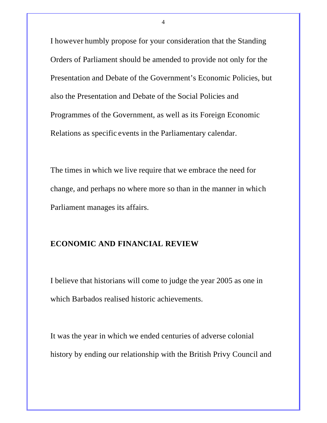I however humbly propose for your consideration that the Standing Orders of Parliament should be amended to provide not only for the Presentation and Debate of the Government's Economic Policies, but also the Presentation and Debate of the Social Policies and Programmes of the Government, as well as its Foreign Economic Relations as specific events in the Parliamentary calendar.

The times in which we live require that we embrace the need for change, and perhaps no where more so than in the manner in which Parliament manages its affairs.

## **ECONOMIC AND FINANCIAL REVIEW**

I believe that historians will come to judge the year 2005 as one in which Barbados realised historic achievements.

It was the year in which we ended centuries of adverse colonial history by ending our relationship with the British Privy Council and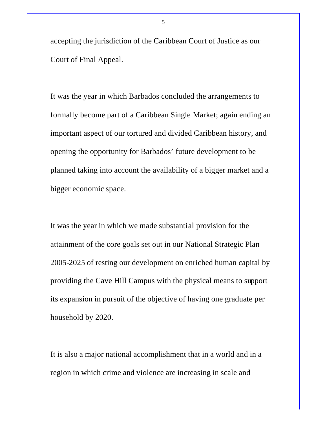accepting the jurisdiction of the Caribbean Court of Justice as our Court of Final Appeal.

It was the year in which Barbados concluded the arrangements to formally become part of a Caribbean Single Market; again ending an important aspect of our tortured and divided Caribbean history, and opening the opportunity for Barbados' future development to be planned taking into account the availability of a bigger market and a bigger economic space.

It was the year in which we made substantial provision for the attainment of the core goals set out in our National Strategic Plan 2005-2025 of resting our development on enriched human capital by providing the Cave Hill Campus with the physical means to support its expansion in pursuit of the objective of having one graduate per household by 2020.

It is also a major national accomplishment that in a world and in a region in which crime and violence are increasing in scale and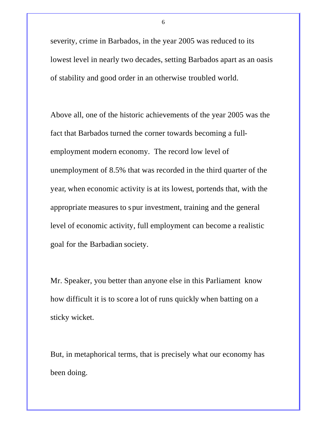severity, crime in Barbados, in the year 2005 was reduced to its lowest level in nearly two decades, setting Barbados apart as an oasis of stability and good order in an otherwise troubled world.

Above all, one of the historic achievements of the year 2005 was the fact that Barbados turned the corner towards becoming a fullemployment modern economy. The record low level of unemployment of 8.5% that was recorded in the third quarter of the year, when economic activity is at its lowest, portends that, with the appropriate measures to spur investment, training and the general level of economic activity, full employment can become a realistic goal for the Barbadian society.

Mr. Speaker, you better than anyone else in this Parliament know how difficult it is to score a lot of runs quickly when batting on a sticky wicket.

But, in metaphorical terms, that is precisely what our economy has been doing.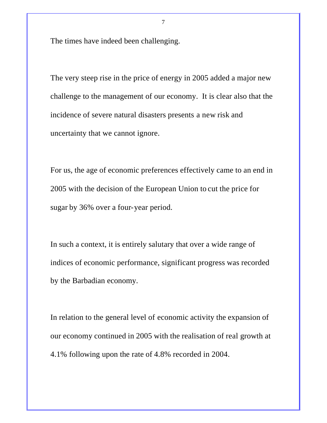The times have indeed been challenging.

The very steep rise in the price of energy in 2005 added a major new challenge to the management of our economy. It is clear also that the incidence of severe natural disasters presents a new risk and uncertainty that we cannot ignore.

For us, the age of economic preferences effectively came to an end in 2005 with the decision of the European Union to cut the price for sugar by 36% over a four-year period.

In such a context, it is entirely salutary that over a wide range of indices of economic performance, significant progress was recorded by the Barbadian economy.

In relation to the general level of economic activity the expansion of our economy continued in 2005 with the realisation of real growth at 4.1% following upon the rate of 4.8% recorded in 2004.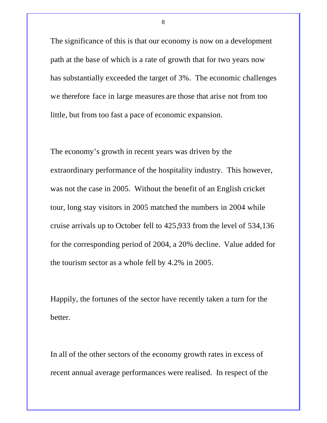The significance of this is that our economy is now on a development path at the base of which is a rate of growth that for two years now has substantially exceeded the target of 3%. The economic challenges we therefore face in large measures are those that arise not from too little, but from too fast a pace of economic expansion.

The economy's growth in recent years was driven by the extraordinary performance of the hospitality industry. This however, was not the case in 2005. Without the benefit of an English cricket tour, long stay visitors in 2005 matched the numbers in 2004 while cruise arrivals up to October fell to 425,933 from the level of 534,136 for the corresponding period of 2004, a 20% decline. Value added for the tourism sector as a whole fell by 4.2% in 2005.

Happily, the fortunes of the sector have recently taken a turn for the better.

In all of the other sectors of the economy growth rates in excess of recent annual average performances were realised. In respect of the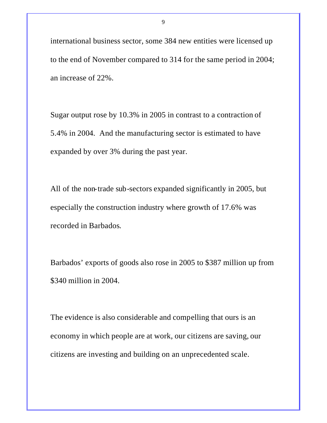international business sector, some 384 new entities were licensed up to the end of November compared to 314 for the same period in 2004; an increase of 22%.

Sugar output rose by 10.3% in 2005 in contrast to a contraction of 5.4% in 2004. And the manufacturing sector is estimated to have expanded by over 3% during the past year.

All of the non-trade sub-sectors expanded significantly in 2005, but especially the construction industry where growth of 17.6% was recorded in Barbados.

Barbados' exports of goods also rose in 2005 to \$387 million up from \$340 million in 2004.

The evidence is also considerable and compelling that ours is an economy in which people are at work, our citizens are saving, our citizens are investing and building on an unprecedented scale.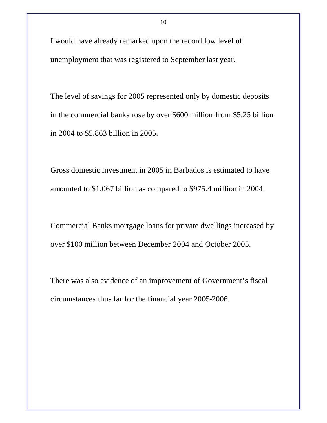I would have already remarked upon the record low level of unemployment that was registered to September last year.

The level of savings for 2005 represented only by domestic deposits in the commercial banks rose by over \$600 million from \$5.25 billion in 2004 to \$5.863 billion in 2005.

Gross domestic investment in 2005 in Barbados is estimated to have amounted to \$1.067 billion as compared to \$975.4 million in 2004.

Commercial Banks mortgage loans for private dwellings increased by over \$100 million between December 2004 and October 2005.

There was also evidence of an improvement of Government's fiscal circumstances thus far for the financial year 2005-2006.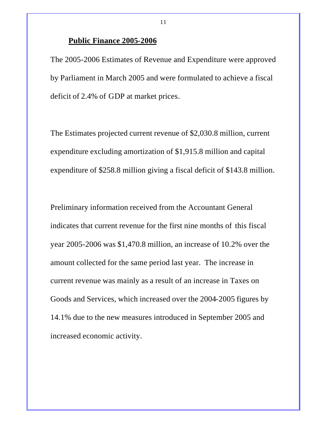#### **Public Finance 2005-2006**

The 2005-2006 Estimates of Revenue and Expenditure were approved by Parliament in March 2005 and were formulated to achieve a fiscal deficit of 2.4% of GDP at market prices.

11

The Estimates projected current revenue of \$2,030.8 million, current expenditure excluding amortization of \$1,915.8 million and capital expenditure of \$258.8 million giving a fiscal deficit of \$143.8 million.

Preliminary information received from the Accountant General indicates that current revenue for the first nine months of this fiscal year 2005-2006 was \$1,470.8 million, an increase of 10.2% over the amount collected for the same period last year. The increase in current revenue was mainly as a result of an increase in Taxes on Goods and Services, which increased over the 2004-2005 figures by 14.1% due to the new measures introduced in September 2005 and increased economic activity.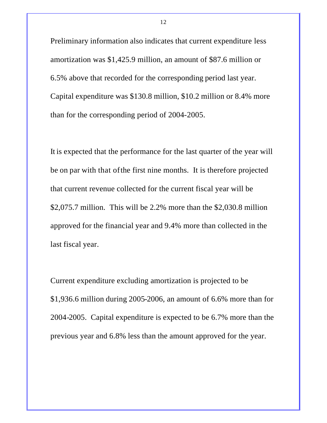Preliminary information also indicates that current expenditure less amortization was \$1,425.9 million, an amount of \$87.6 million or 6.5% above that recorded for the corresponding period last year. Capital expenditure was \$130.8 million, \$10.2 million or 8.4% more than for the corresponding period of 2004-2005.

It is expected that the performance for the last quarter of the year will be on par with that of the first nine months. It is therefore projected that current revenue collected for the current fiscal year will be \$2,075.7 million. This will be 2.2% more than the \$2,030.8 million approved for the financial year and 9.4% more than collected in the last fiscal year.

Current expenditure excluding amortization is projected to be \$1,936.6 million during 2005-2006, an amount of 6.6% more than for 2004-2005. Capital expenditure is expected to be 6.7% more than the previous year and 6.8% less than the amount approved for the year.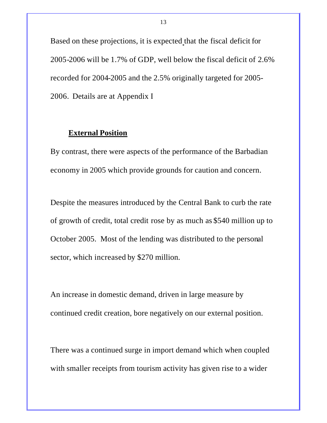Based on these projections, it is expected that the fiscal deficit for 2005-2006 will be 1.7% of GDP, well below the fiscal deficit of 2.6% recorded for 2004-2005 and the 2.5% originally targeted for 2005- 2006. Details are at Appendix I

## **External Position**

By contrast, there were aspects of the performance of the Barbadian economy in 2005 which provide grounds for caution and concern.

Despite the measures introduced by the Central Bank to curb the rate of growth of credit, total credit rose by as much as \$540 million up to October 2005. Most of the lending was distributed to the personal sector, which increased by \$270 million.

An increase in domestic demand, driven in large measure by continued credit creation, bore negatively on our external position.

There was a continued surge in import demand which when coupled with smaller receipts from tourism activity has given rise to a wider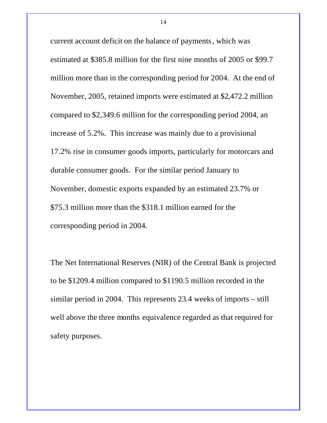current account deficit on the balance of payments, which was estimated at \$385.8 million for the first nine months of 2005 or \$99.7 million more than in the corresponding period for 2004. At the end of November, 2005, retained imports were estimated at \$2,472.2 million compared to \$2,349.6 million for the corresponding period 2004, an increase of 5.2%. This increase was mainly due to a provisional 17.2% rise in consumer goods imports, particularly for motorcars and durable consumer goods. For the similar period January to November, domestic exports expanded by an estimated 23.7% or \$75.3 million more than the \$318.1 million earned for the corresponding period in 2004.

The Net International Reserves (NIR) of the Central Bank is projected to be \$1209.4 million compared to \$1190.5 million recorded in the similar period in 2004. This represents 23.4 weeks of imports – still well above the three months equivalence regarded as that required for safety purposes.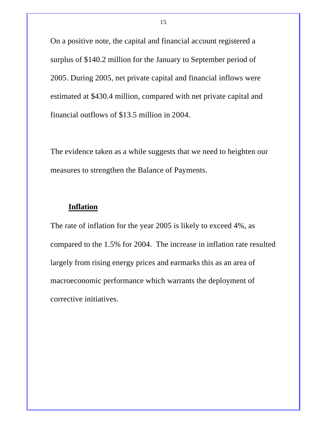On a positive note, the capital and financial account registered a surplus of \$140.2 million for the January to September period of 2005. During 2005, net private capital and financial inflows were estimated at \$430.4 million, compared with net private capital and financial outflows of \$13.5 million in 2004.

The evidence taken as a while suggests that we need to heighten our measures to strengthen the Balance of Payments.

## **Inflation**

The rate of inflation for the year 2005 is likely to exceed 4%, as compared to the 1.5% for 2004. The increase in inflation rate resulted largely from rising energy prices and earmarks this as an area of macroeconomic performance which warrants the deployment of corrective initiatives.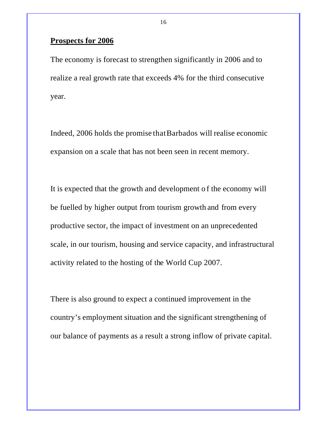## **Prospects for 2006**

The economy is forecast to strengthen significantly in 2006 and to realize a real growth rate that exceeds 4% for the third consecutive year.

Indeed, 2006 holds the promise that Barbados will realise economic expansion on a scale that has not been seen in recent memory.

It is expected that the growth and development o f the economy will be fuelled by higher output from tourism growth and from every productive sector, the impact of investment on an unprecedented scale, in our tourism, housing and service capacity, and infrastructural activity related to the hosting of the World Cup 2007.

There is also ground to expect a continued improvement in the country's employment situation and the significant strengthening of our balance of payments as a result a strong inflow of private capital.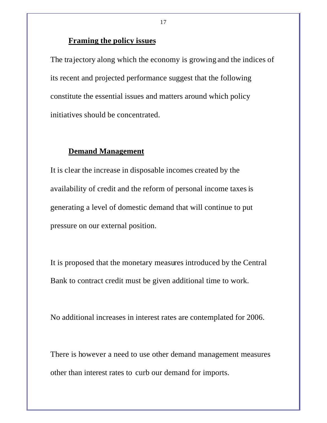## **Framing the policy issues**

The trajectory along which the economy is growing and the indices of its recent and projected performance suggest that the following constitute the essential issues and matters around which policy initiatives should be concentrated.

## **Demand Management**

It is clear the increase in disposable incomes created by the availability of credit and the reform of personal income taxes is generating a level of domestic demand that will continue to put pressure on our external position.

It is proposed that the monetary measures introduced by the Central Bank to contract credit must be given additional time to work.

No additional increases in interest rates are contemplated for 2006.

There is however a need to use other demand management measures other than interest rates to curb our demand for imports.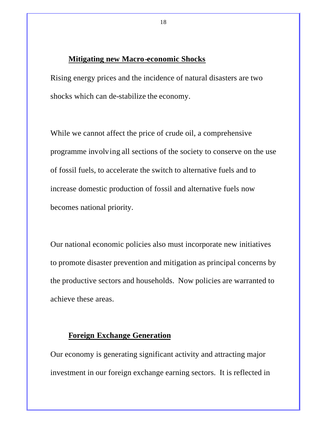#### **Mitigating new Macro-economic Shocks**

Rising energy prices and the incidence of natural disasters are two shocks which can de-stabilize the economy.

While we cannot affect the price of crude oil, a comprehensive programme involving all sections of the society to conserve on the use of fossil fuels, to accelerate the switch to alternative fuels and to increase domestic production of fossil and alternative fuels now becomes national priority.

Our national economic policies also must incorporate new initiatives to promote disaster prevention and mitigation as principal concerns by the productive sectors and households. Now policies are warranted to achieve these areas.

## **Foreign Exchange Generation**

Our economy is generating significant activity and attracting major investment in our foreign exchange earning sectors. It is reflected in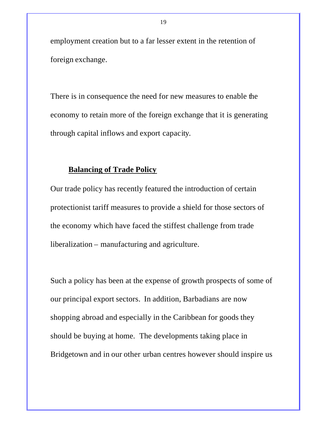employment creation but to a far lesser extent in the retention of foreign exchange.

There is in consequence the need for new measures to enable the economy to retain more of the foreign exchange that it is generating through capital inflows and export capacity.

## **Balancing of Trade Policy**

Our trade policy has recently featured the introduction of certain protectionist tariff measures to provide a shield for those sectors of the economy which have faced the stiffest challenge from trade liberalization – manufacturing and agriculture.

Such a policy has been at the expense of growth prospects of some of our principal export sectors. In addition, Barbadians are now shopping abroad and especially in the Caribbean for goods they should be buying at home. The developments taking place in Bridgetown and in our other urban centres however should inspire us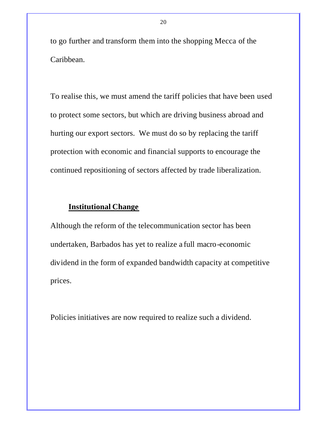to go further and transform them into the shopping Mecca of the Caribbean.

To realise this, we must amend the tariff policies that have been used to protect some sectors, but which are driving business abroad and hurting our export sectors. We must do so by replacing the tariff protection with economic and financial supports to encourage the continued repositioning of sectors affected by trade liberalization.

## **Institutional Change**

Although the reform of the telecommunication sector has been undertaken, Barbados has yet to realize a full macro-economic dividend in the form of expanded bandwidth capacity at competitive prices.

Policies initiatives are now required to realize such a dividend.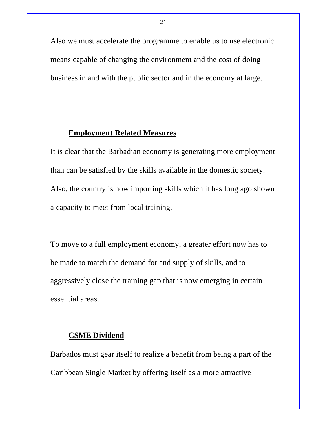Also we must accelerate the programme to enable us to use electronic means capable of changing the environment and the cost of doing business in and with the public sector and in the economy at large.

## **Employment Related Measures**

It is clear that the Barbadian economy is generating more employment than can be satisfied by the skills available in the domestic society. Also, the country is now importing skills which it has long ago shown a capacity to meet from local training.

To move to a full employment economy, a greater effort now has to be made to match the demand for and supply of skills, and to aggressively close the training gap that is now emerging in certain essential areas.

## **CSME Dividend**

Barbados must gear itself to realize a benefit from being a part of the Caribbean Single Market by offering itself as a more attractive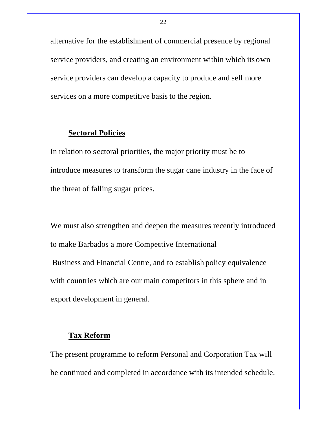alternative for the establishment of commercial presence by regional service providers, and creating an environment within which its own service providers can develop a capacity to produce and sell more services on a more competitive basis to the region.

## **Sectoral Policies**

In relation to sectoral priorities, the major priority must be to introduce measures to transform the sugar cane industry in the face of the threat of falling sugar prices.

We must also strengthen and deepen the measures recently introduced to make Barbados a more Competitive International Business and Financial Centre, and to establish policy equivalence with countries which are our main competitors in this sphere and in export development in general.

## **Tax Reform**

The present programme to reform Personal and Corporation Tax will be continued and completed in accordance with its intended schedule.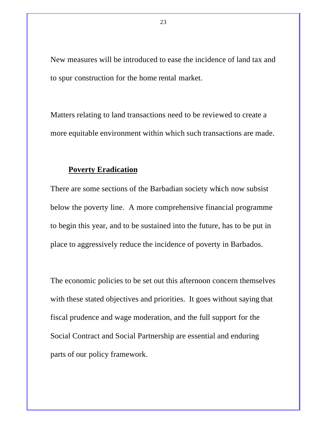New measures will be introduced to ease the incidence of land tax and to spur construction for the home rental market.

Matters relating to land transactions need to be reviewed to create a more equitable environment within which such transactions are made.

## **Poverty Eradication**

There are some sections of the Barbadian society which now subsist below the poverty line. A more comprehensive financial programme to begin this year, and to be sustained into the future, has to be put in place to aggressively reduce the incidence of poverty in Barbados.

The economic policies to be set out this afternoon concern themselves with these stated objectives and priorities. It goes without saying that fiscal prudence and wage moderation, and the full support for the Social Contract and Social Partnership are essential and enduring parts of our policy framework.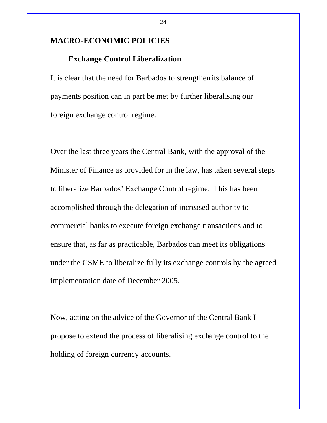#### **MACRO-ECONOMIC POLICIES**

#### **Exchange Control Liberalization**

It is clear that the need for Barbados to strengthen its balance of payments position can in part be met by further liberalising our foreign exchange control regime.

Over the last three years the Central Bank, with the approval of the Minister of Finance as provided for in the law, has taken several steps to liberalize Barbados' Exchange Control regime. This has been accomplished through the delegation of increased authority to commercial banks to execute foreign exchange transactions and to ensure that, as far as practicable, Barbados can meet its obligations under the CSME to liberalize fully its exchange controls by the agreed implementation date of December 2005.

Now, acting on the advice of the Governor of the Central Bank I propose to extend the process of liberalising exchange control to the holding of foreign currency accounts.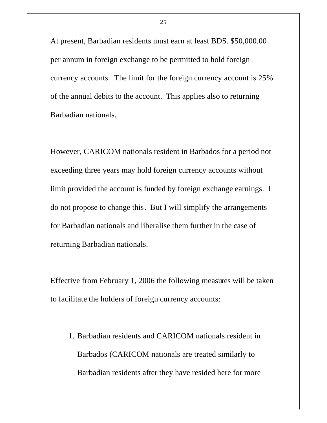At present, Barbadian residents must earn at least BDS. \$50,000.00 per annum in foreign exchange to be permitted to hold foreign currency accounts. The limit for the foreign currency account is 25% of the annual debits to the account. This applies also to returning Barbadian nationals.

However, CARICOM nationals resident in Barbados for a period not exceeding three years may hold foreign currency accounts without limit provided the account is funded by foreign exchange earnings. I do not propose to change this. But I will simplify the arrangements for Barbadian nationals and liberalise them further in the case of returning Barbadian nationals.

Effective from February 1, 2006 the following measures will be taken to facilitate the holders of foreign currency accounts:

1. Barbadian residents and CARICOM nationals resident in Barbados (CARICOM nationals are treated similarly to Barbadian residents after they have resided here for more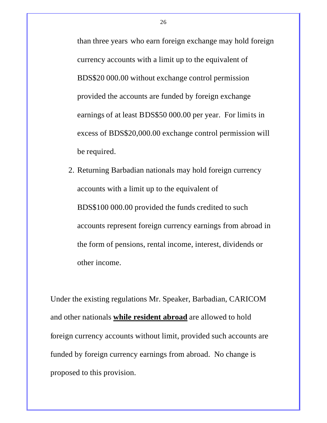than three years who earn foreign exchange may hold foreign currency accounts with a limit up to the equivalent of BDS\$20 000.00 without exchange control permission provided the accounts are funded by foreign exchange earnings of at least BDS\$50 000.00 per year. For limits in excess of BDS\$20,000.00 exchange control permission will be required.

2. Returning Barbadian nationals may hold foreign currency accounts with a limit up to the equivalent of BDS\$100 000.00 provided the funds credited to such accounts represent foreign currency earnings from abroad in the form of pensions, rental income, interest, dividends or other income.

Under the existing regulations Mr. Speaker, Barbadian, CARICOM and other nationals **while resident abroad** are allowed to hold foreign currency accounts without limit, provided such accounts are funded by foreign currency earnings from abroad. No change is proposed to this provision.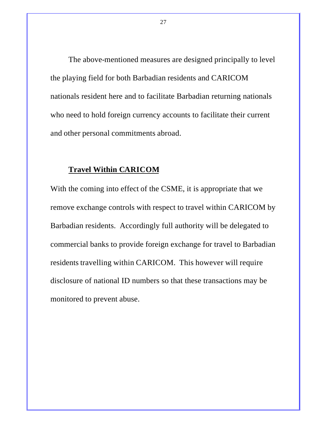The above-mentioned measures are designed principally to level the playing field for both Barbadian residents and CARICOM nationals resident here and to facilitate Barbadian returning nationals who need to hold foreign currency accounts to facilitate their current and other personal commitments abroad.

## **Travel Within CARICOM**

With the coming into effect of the CSME, it is appropriate that we remove exchange controls with respect to travel within CARICOM by Barbadian residents. Accordingly full authority will be delegated to commercial banks to provide foreign exchange for travel to Barbadian residents travelling within CARICOM. This however will require disclosure of national ID numbers so that these transactions may be monitored to prevent abuse.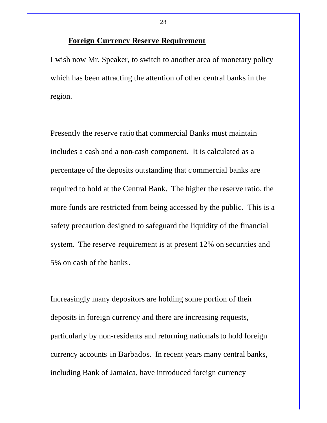## **Foreign Currency Reserve Requirement**

I wish now Mr. Speaker, to switch to another area of monetary policy which has been attracting the attention of other central banks in the region.

Presently the reserve ratio that commercial Banks must maintain includes a cash and a non-cash component. It is calculated as a percentage of the deposits outstanding that commercial banks are required to hold at the Central Bank. The higher the reserve ratio, the more funds are restricted from being accessed by the public. This is a safety precaution designed to safeguard the liquidity of the financial system. The reserve requirement is at present 12% on securities and 5% on cash of the banks.

Increasingly many depositors are holding some portion of their deposits in foreign currency and there are increasing requests, particularly by non-residents and returning nationals to hold foreign currency accounts in Barbados. In recent years many central banks, including Bank of Jamaica, have introduced foreign currency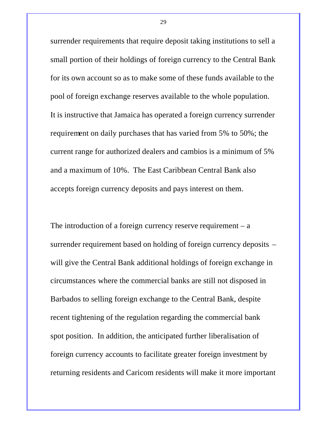surrender requirements that require deposit taking institutions to sell a small portion of their holdings of foreign currency to the Central Bank for its own account so as to make some of these funds available to the pool of foreign exchange reserves available to the whole population. It is instructive that Jamaica has operated a foreign currency surrender requirement on daily purchases that has varied from 5% to 50%; the current range for authorized dealers and cambios is a minimum of 5% and a maximum of 10%. The East Caribbean Central Bank also accepts foreign currency deposits and pays interest on them.

The introduction of a foreign currency reserve requirement  $- a$ surrender requirement based on holding of foreign currency deposits – will give the Central Bank additional holdings of foreign exchange in circumstances where the commercial banks are still not disposed in Barbados to selling foreign exchange to the Central Bank, despite recent tightening of the regulation regarding the commercial bank spot position. In addition, the anticipated further liberalisation of foreign currency accounts to facilitate greater foreign investment by returning residents and Caricom residents will make it more important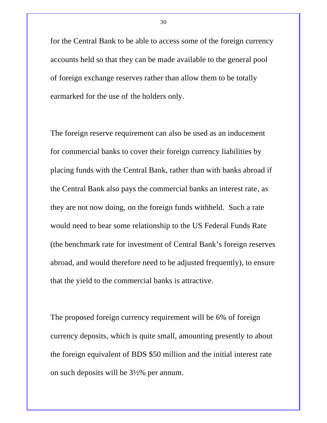for the Central Bank to be able to access some of the foreign currency accounts held so that they can be made available to the general pool of foreign exchange reserves rather than allow them to be totally earmarked for the use of the holders only.

The foreign reserve requirement can also be used as an inducement for commercial banks to cover their foreign currency liabilities by placing funds with the Central Bank, rather than with banks abroad if the Central Bank also pays the commercial banks an interest rate, as they are not now doing, on the foreign funds withheld. Such a rate would need to bear some relationship to the US Federal Funds Rate (the benchmark rate for investment of Central Bank's foreign reserves abroad, and would therefore need to be adjusted frequently), to ensure that the yield to the commercial banks is attractive.

The proposed foreign currency requirement will be 6% of foreign currency deposits, which is quite small, amounting presently to about the foreign equivalent of BDS \$50 million and the initial interest rate on such deposits will be 3½% per annum.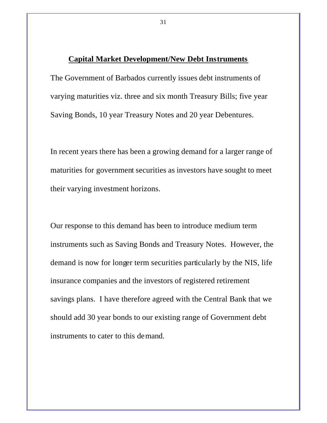#### **Capital Market Development/New Debt Instruments**

The Government of Barbados currently issues debt instruments of varying maturities viz. three and six month Treasury Bills; five year Saving Bonds, 10 year Treasury Notes and 20 year Debentures.

In recent years there has been a growing demand for a larger range of maturities for government securities as investors have sought to meet their varying investment horizons.

Our response to this demand has been to introduce medium term instruments such as Saving Bonds and Treasury Notes. However, the demand is now for longer term securities particularly by the NIS, life insurance companies and the investors of registered retirement savings plans. I have therefore agreed with the Central Bank that we should add 30 year bonds to our existing range of Government debt instruments to cater to this demand.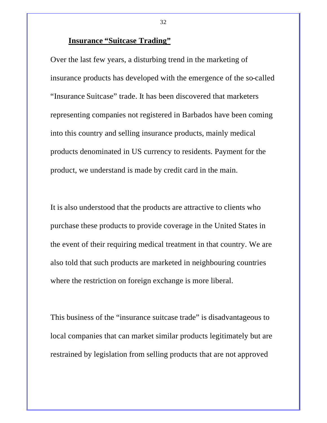## **Insurance "Suitcase Trading"**

Over the last few years, a disturbing trend in the marketing of insurance products has developed with the emergence of the so-called "Insurance Suitcase" trade. It has been discovered that marketers representing companies not registered in Barbados have been coming into this country and selling insurance products, mainly medical products denominated in US currency to residents. Payment for the product, we understand is made by credit card in the main.

It is also understood that the products are attractive to clients who purchase these products to provide coverage in the United States in the event of their requiring medical treatment in that country. We are also told that such products are marketed in neighbouring countries where the restriction on foreign exchange is more liberal.

This business of the "insurance suitcase trade" is disadvantageous to local companies that can market similar products legitimately but are restrained by legislation from selling products that are not approved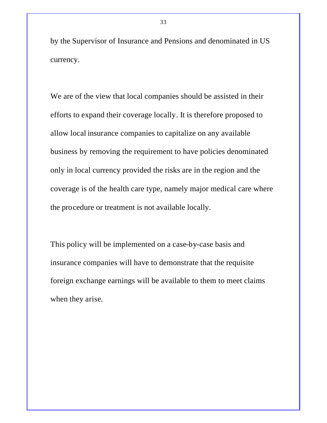by the Supervisor of Insurance and Pensions and denominated in US currency.

We are of the view that local companies should be assisted in their efforts to expand their coverage locally. It is therefore proposed to allow local insurance companies to capitalize on any available business by removing the requirement to have policies denominated only in local currency provided the risks are in the region and the coverage is of the health care type, namely major medical care where the procedure or treatment is not available locally.

This policy will be implemented on a case-by-case basis and insurance companies will have to demonstrate that the requisite foreign exchange earnings will be available to them to meet claims when they arise.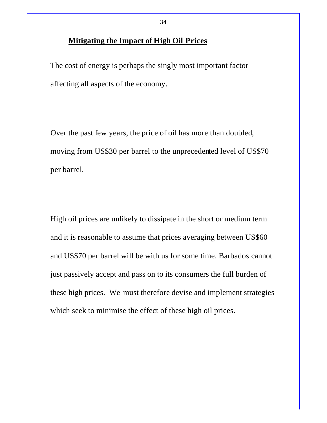## **Mitigating the Impact of High Oil Prices**

The cost of energy is perhaps the singly most important factor affecting all aspects of the economy.

Over the past few years, the price of oil has more than doubled, moving from US\$30 per barrel to the unprecedented level of US\$70 per barrel.

High oil prices are unlikely to dissipate in the short or medium term and it is reasonable to assume that prices averaging between US\$60 and US\$70 per barrel will be with us for some time. Barbados cannot just passively accept and pass on to its consumers the full burden of these high prices. We must therefore devise and implement strategies which seek to minimise the effect of these high oil prices.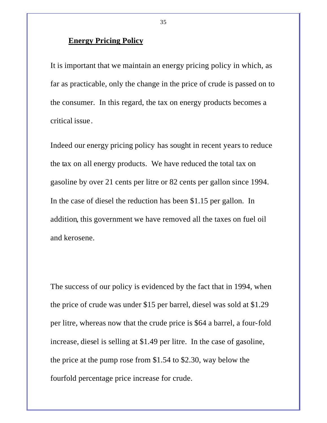### **Energy Pricing Policy**

It is important that we maintain an energy pricing policy in which, as far as practicable, only the change in the price of crude is passed on to the consumer. In this regard, the tax on energy products becomes a critical issue.

Indeed our energy pricing policy has sought in recent years to reduce the tax on all energy products. We have reduced the total tax on gasoline by over 21 cents per litre or 82 cents per gallon since 1994. In the case of diesel the reduction has been \$1.15 per gallon. In addition, this government we have removed all the taxes on fuel oil and kerosene.

The success of our policy is evidenced by the fact that in 1994, when the price of crude was under \$15 per barrel, diesel was sold at \$1.29 per litre, whereas now that the crude price is \$64 a barrel, a four-fold increase, diesel is selling at \$1.49 per litre. In the case of gasoline, the price at the pump rose from \$1.54 to \$2.30, way below the fourfold percentage price increase for crude.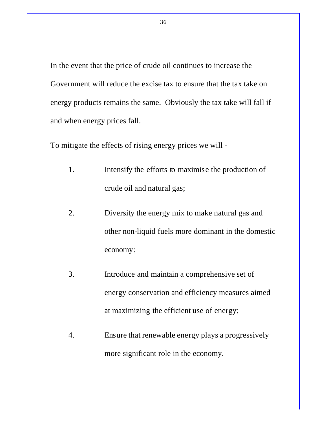In the event that the price of crude oil continues to increase the Government will reduce the excise tax to ensure that the tax take on energy products remains the same. Obviously the tax take will fall if and when energy prices fall.

To mitigate the effects of rising energy prices we will -

- 1. Intensify the efforts to maximise the production of crude oil and natural gas;
- 2. Diversify the energy mix to make natural gas and other non-liquid fuels more dominant in the domestic economy;
- 3. Introduce and maintain a comprehensive set of energy conservation and efficiency measures aimed at maximizing the efficient use of energy;
- 4. Ensure that renewable energy plays a progressively more significant role in the economy.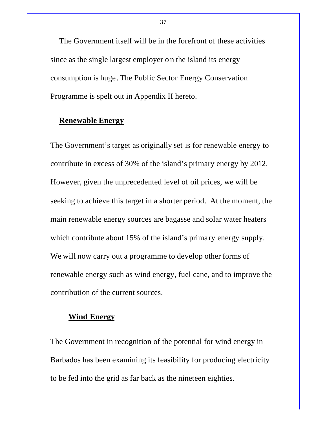The Government itself will be in the forefront of these activities since as the single largest employer o n the island its energy consumption is huge. The Public Sector Energy Conservation Programme is spelt out in Appendix II hereto.

### **Renewable Energy**

The Government's target as originally set is for renewable energy to contribute in excess of 30% of the island's primary energy by 2012. However, given the unprecedented level of oil prices, we will be seeking to achieve this target in a shorter period. At the moment, the main renewable energy sources are bagasse and solar water heaters which contribute about 15% of the island's primary energy supply. We will now carry out a programme to develop other forms of renewable energy such as wind energy, fuel cane, and to improve the contribution of the current sources.

# **Wind Energy**

The Government in recognition of the potential for wind energy in Barbados has been examining its feasibility for producing electricity to be fed into the grid as far back as the nineteen eighties.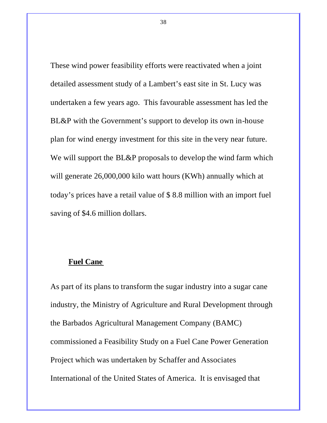These wind power feasibility efforts were reactivated when a joint detailed assessment study of a Lambert's east site in St. Lucy was undertaken a few years ago. This favourable assessment has led the BL&P with the Government's support to develop its own in-house plan for wind energy investment for this site in the very near future. We will support the BL&P proposals to develop the wind farm which will generate 26,000,000 kilo watt hours (KWh) annually which at today's prices have a retail value of \$ 8.8 million with an import fuel saving of \$4.6 million dollars.

#### **Fuel Cane**

As part of its plans to transform the sugar industry into a sugar cane industry, the Ministry of Agriculture and Rural Development through the Barbados Agricultural Management Company (BAMC) commissioned a Feasibility Study on a Fuel Cane Power Generation Project which was undertaken by Schaffer and Associates International of the United States of America. It is envisaged that

38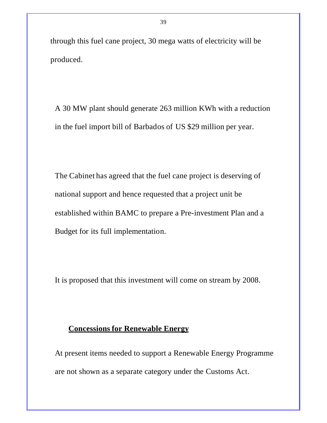through this fuel cane project, 30 mega watts of electricity will be produced.

A 30 MW plant should generate 263 million KWh with a reduction in the fuel import bill of Barbados of US \$29 million per year.

The Cabinet has agreed that the fuel cane project is deserving of national support and hence requested that a project unit be established within BAMC to prepare a Pre-investment Plan and a Budget for its full implementation.

It is proposed that this investment will come on stream by 2008.

# **Concessions for Renewable Energy**

At present items needed to support a Renewable Energy Programme are not shown as a separate category under the Customs Act.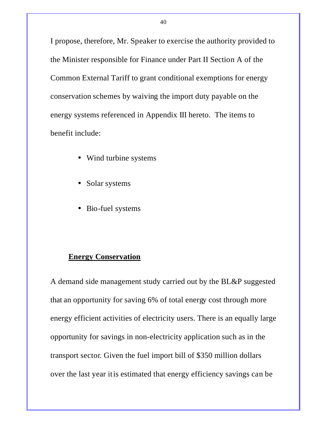I propose, therefore, Mr. Speaker to exercise the authority provided to the Minister responsible for Finance under Part II Section A of the Common External Tariff to grant conditional exemptions for energy conservation schemes by waiving the import duty payable on the energy systems referenced in Appendix III hereto. The items to benefit include:

- Wind turbine systems
- Solar systems
- Bio-fuel systems

# **Energy Conservation**

A demand side management study carried out by the BL&P suggested that an opportunity for saving 6% of total energy cost through more energy efficient activities of electricity users. There is an equally large opportunity for savings in non-electricity application such as in the transport sector. Given the fuel import bill of \$350 million dollars over the last year it is estimated that energy efficiency savings can be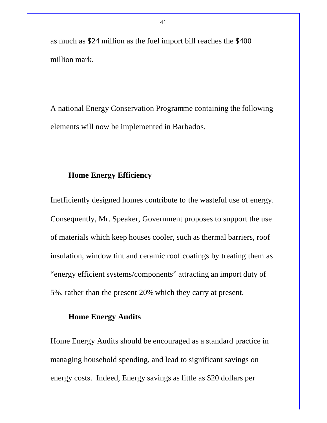as much as \$24 million as the fuel import bill reaches the \$400 million mark.

A national Energy Conservation Programme containing the following elements will now be implemented in Barbados.

### **Home Energy Efficiency**

Inefficiently designed homes contribute to the wasteful use of energy. Consequently, Mr. Speaker, Government proposes to support the use of materials which keep houses cooler, such as thermal barriers, roof insulation, window tint and ceramic roof coatings by treating them as "energy efficient systems/components" attracting an import duty of 5%. rather than the present 20% which they carry at present.

# **Home Energy Audits**

Home Energy Audits should be encouraged as a standard practice in managing household spending, and lead to significant savings on energy costs. Indeed, Energy savings as little as \$20 dollars per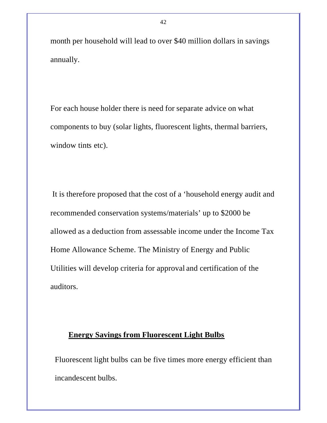month per household will lead to over \$40 million dollars in savings annually.

For each house holder there is need for separate advice on what components to buy (solar lights, fluorescent lights, thermal barriers, window tints etc).

 It is therefore proposed that the cost of a 'household energy audit and recommended conservation systems/materials' up to \$2000 be allowed as a deduction from assessable income under the Income Tax Home Allowance Scheme. The Ministry of Energy and Public Utilities will develop criteria for approval and certification of the auditors.

### **Energy Savings from Fluorescent Light Bulbs**

Fluorescent light bulbs can be five times more energy efficient than incandescent bulbs.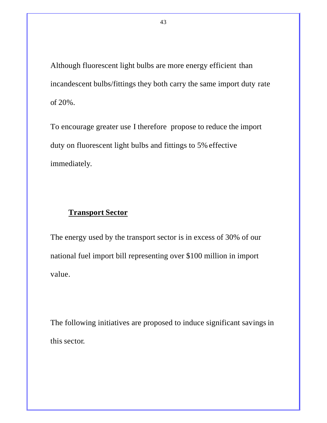Although fluorescent light bulbs are more energy efficient than incandescent bulbs/fittings they both carry the same import duty rate of 20%.

To encourage greater use I therefore propose to reduce the import duty on fluorescent light bulbs and fittings to 5% effective immediately.

# **Transport Sector**

The energy used by the transport sector is in excess of 30% of our national fuel import bill representing over \$100 million in import value.

The following initiatives are proposed to induce significant savings in this sector.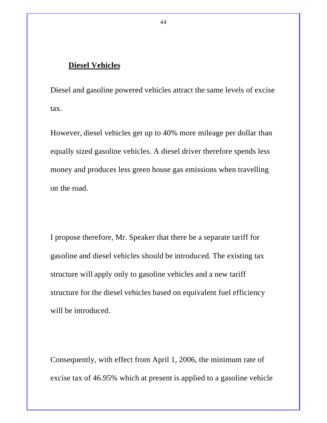# **Diesel Vehicles**

Diesel and gasoline powered vehicles attract the same levels of excise tax.

However, diesel vehicles get up to 40% more mileage per dollar than equally sized gasoline vehicles. A diesel driver therefore spends less money and produces less green house gas emissions when travelling on the road.

I propose therefore, Mr. Speaker that there be a separate tariff for gasoline and diesel vehicles should be introduced. The existing tax structure will apply only to gasoline vehicles and a new tariff structure for the diesel vehicles based on equivalent fuel efficiency will be introduced.

Consequently, with effect from April 1, 2006, the minimum rate of excise tax of 46.95% which at present is applied to a gasoline vehicle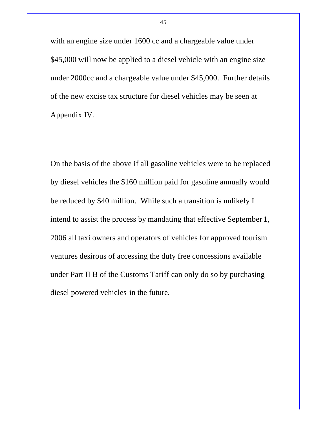with an engine size under 1600 cc and a chargeable value under \$45,000 will now be applied to a diesel vehicle with an engine size under 2000cc and a chargeable value under \$45,000. Further details of the new excise tax structure for diesel vehicles may be seen at Appendix IV.

On the basis of the above if all gasoline vehicles were to be replaced by diesel vehicles the \$160 million paid for gasoline annually would be reduced by \$40 million. While such a transition is unlikely I intend to assist the process by mandating that effective September 1, 2006 all taxi owners and operators of vehicles for approved tourism ventures desirous of accessing the duty free concessions available under Part II B of the Customs Tariff can only do so by purchasing diesel powered vehicles in the future.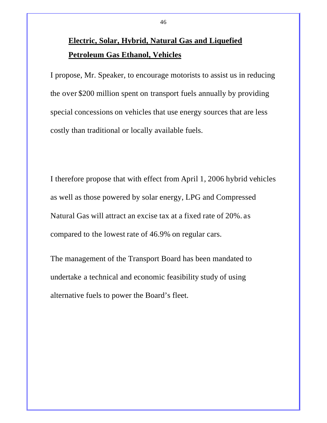# **Electric, Solar, Hybrid, Natural Gas and Liquefied Petroleum Gas Ethanol, Vehicles**

I propose, Mr. Speaker, to encourage motorists to assist us in reducing the over \$200 million spent on transport fuels annually by providing special concessions on vehicles that use energy sources that are less costly than traditional or locally available fuels.

I therefore propose that with effect from April 1, 2006 hybrid vehicles as well as those powered by solar energy, LPG and Compressed Natural Gas will attract an excise tax at a fixed rate of 20%. as compared to the lowest rate of 46.9% on regular cars.

The management of the Transport Board has been mandated to undertake a technical and economic feasibility study of using alternative fuels to power the Board's fleet.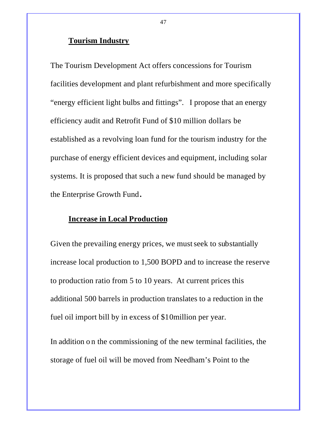### **Tourism Industry**

The Tourism Development Act offers concessions for Tourism facilities development and plant refurbishment and more specifically "energy efficient light bulbs and fittings". I propose that an energy efficiency audit and Retrofit Fund of \$10 million dollars be established as a revolving loan fund for the tourism industry for the purchase of energy efficient devices and equipment, including solar systems. It is proposed that such a new fund should be managed by the Enterprise Growth Fund**.**

# **Increase in Local Production**

Given the prevailing energy prices, we must seek to substantially increase local production to 1,500 BOPD and to increase the reserve to production ratio from 5 to 10 years. At current prices this additional 500 barrels in production translates to a reduction in the fuel oil import bill by in excess of \$10million per year.

In addition o n the commissioning of the new terminal facilities, the storage of fuel oil will be moved from Needham's Point to the

47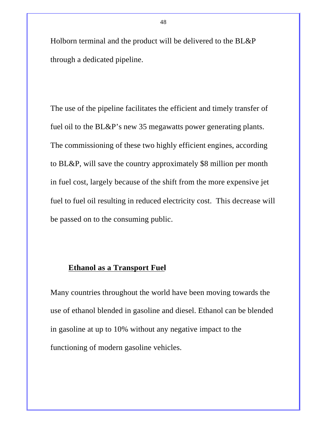Holborn terminal and the product will be delivered to the BL&P through a dedicated pipeline.

The use of the pipeline facilitates the efficient and timely transfer of fuel oil to the BL&P's new 35 megawatts power generating plants. The commissioning of these two highly efficient engines, according to BL&P, will save the country approximately \$8 million per month in fuel cost, largely because of the shift from the more expensive jet fuel to fuel oil resulting in reduced electricity cost. This decrease will be passed on to the consuming public.

## **Ethanol as a Transport Fuel**

Many countries throughout the world have been moving towards the use of ethanol blended in gasoline and diesel. Ethanol can be blended in gasoline at up to 10% without any negative impact to the functioning of modern gasoline vehicles.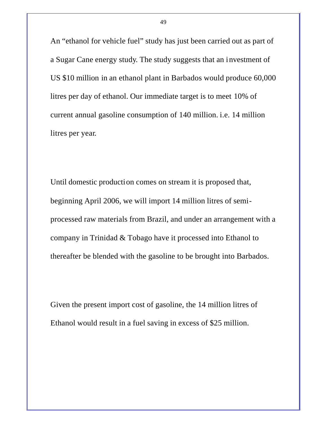An "ethanol for vehicle fuel" study has just been carried out as part of a Sugar Cane energy study. The study suggests that an investment of US \$10 million in an ethanol plant in Barbados would produce 60,000 litres per day of ethanol. Our immediate target is to meet 10% of current annual gasoline consumption of 140 million. i.e. 14 million litres per year.

Until domestic production comes on stream it is proposed that, beginning April 2006, we will import 14 million litres of semiprocessed raw materials from Brazil, and under an arrangement with a company in Trinidad & Tobago have it processed into Ethanol to thereafter be blended with the gasoline to be brought into Barbados.

Given the present import cost of gasoline, the 14 million litres of Ethanol would result in a fuel saving in excess of \$25 million.

49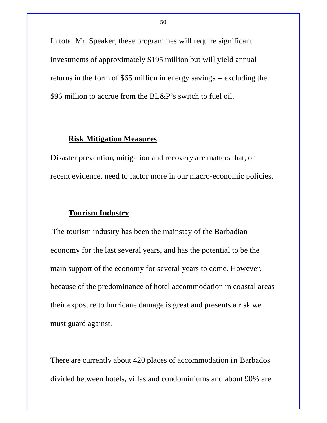In total Mr. Speaker, these programmes will require significant investments of approximately \$195 million but will yield annual returns in the form of \$65 million in energy savings – excluding the \$96 million to accrue from the BL&P's switch to fuel oil.

# **Risk Mitigation Measures**

Disaster prevention, mitigation and recovery are matters that, on recent evidence, need to factor more in our macro-economic policies.

### **Tourism Industry**

The tourism industry has been the mainstay of the Barbadian economy for the last several years, and has the potential to be the main support of the economy for several years to come. However, because of the predominance of hotel accommodation in coastal areas their exposure to hurricane damage is great and presents a risk we must guard against.

There are currently about 420 places of accommodation in Barbados divided between hotels, villas and condominiums and about 90% are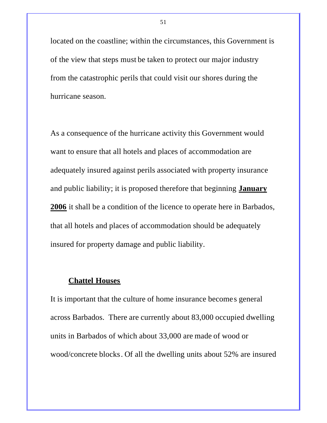located on the coastline; within the circumstances, this Government is of the view that steps must be taken to protect our major industry from the catastrophic perils that could visit our shores during the hurricane season.

As a consequence of the hurricane activity this Government would want to ensure that all hotels and places of accommodation are adequately insured against perils associated with property insurance and public liability; it is proposed therefore that beginning **January 2006** it shall be a condition of the licence to operate here in Barbados, that all hotels and places of accommodation should be adequately insured for property damage and public liability.

### **Chattel Houses**

It is important that the culture of home insurance becomes general across Barbados. There are currently about 83,000 occupied dwelling units in Barbados of which about 33,000 are made of wood or wood/concrete blocks. Of all the dwelling units about 52% are insured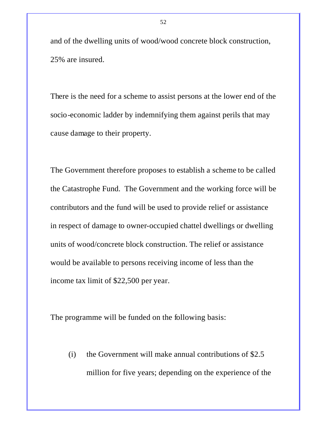and of the dwelling units of wood/wood concrete block construction, 25% are insured.

There is the need for a scheme to assist persons at the lower end of the socio-economic ladder by indemnifying them against perils that may cause damage to their property.

The Government therefore proposes to establish a scheme to be called the Catastrophe Fund. The Government and the working force will be contributors and the fund will be used to provide relief or assistance in respect of damage to owner-occupied chattel dwellings or dwelling units of wood/concrete block construction. The relief or assistance would be available to persons receiving income of less than the income tax limit of \$22,500 per year.

The programme will be funded on the following basis:

(i) the Government will make annual contributions of \$2.5 million for five years; depending on the experience of the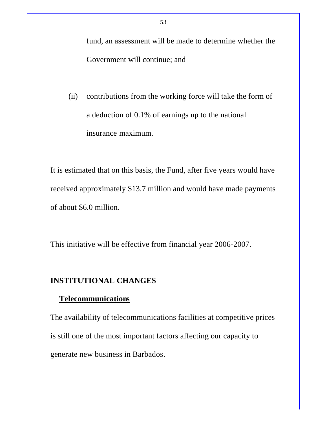fund, an assessment will be made to determine whether the Government will continue; and

(ii) contributions from the working force will take the form of a deduction of 0.1% of earnings up to the national insurance maximum.

It is estimated that on this basis, the Fund, after five years would have received approximately \$13.7 million and would have made payments of about \$6.0 million.

This initiative will be effective from financial year 2006-2007.

# **INSTITUTIONAL CHANGES**

### **Telecommunications**

The availability of telecommunications facilities at competitive prices is still one of the most important factors affecting our capacity to generate new business in Barbados.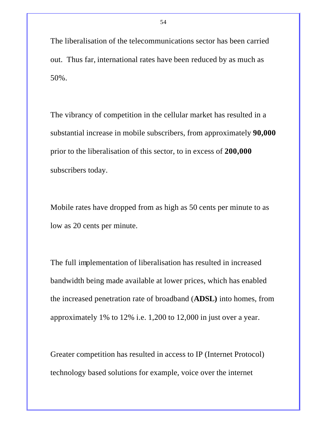The liberalisation of the telecommunications sector has been carried out. Thus far, international rates have been reduced by as much as 50%.

The vibrancy of competition in the cellular market has resulted in a substantial increase in mobile subscribers, from approximately **90,000** prior to the liberalisation of this sector, to in excess of **200,000** subscribers today.

Mobile rates have dropped from as high as 50 cents per minute to as low as 20 cents per minute.

The full implementation of liberalisation has resulted in increased bandwidth being made available at lower prices, which has enabled the increased penetration rate of broadband (**ADSL)** into homes, from approximately 1% to 12% i.e. 1,200 to 12,000 in just over a year.

Greater competition has resulted in access to IP (Internet Protocol) technology based solutions for example, voice over the internet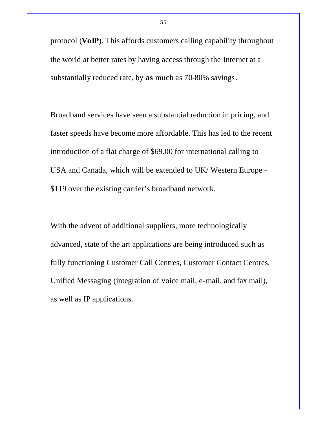protocol (**VoIP**). This affords customers calling capability throughout the world at better rates by having access through the Internet at a substantially reduced rate, by **as** much as 70-80% savings.

Broadband services have seen a substantial reduction in pricing, and faster speeds have become more affordable. This has led to the recent introduction of a flat charge of \$69.00 for international calling to USA and Canada, which will be extended to UK/ Western Europe - \$119 over the existing carrier's broadband network.

With the advent of additional suppliers, more technologically advanced, state of the art applications are being introduced such as fully functioning Customer Call Centres, Customer Contact Centres, Unified Messaging (integration of voice mail, e-mail, and fax mail), as well as IP applications.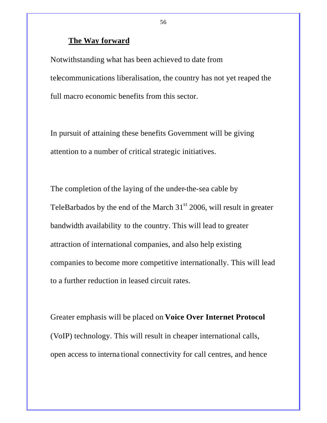### **The Way forward**

Notwithstanding what has been achieved to date from telecommunications liberalisation, the country has not yet reaped the full macro economic benefits from this sector.

In pursuit of attaining these benefits Government will be giving attention to a number of critical strategic initiatives.

The completion of the laying of the under-the-sea cable by TeleBarbados by the end of the March  $31<sup>st</sup>$  2006, will result in greater bandwidth availability to the country. This will lead to greater attraction of international companies, and also help existing companies to become more competitive internationally. This will lead to a further reduction in leased circuit rates.

Greater emphasis will be placed on **Voice Over Internet Protocol** (VoIP) technology. This will result in cheaper international calls, open access to interna tional connectivity for call centres, and hence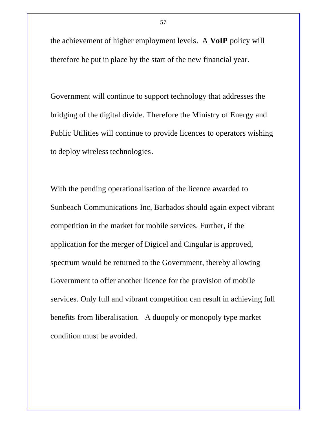the achievement of higher employment levels. A **VoIP** policy will therefore be put in place by the start of the new financial year.

Government will continue to support technology that addresses the bridging of the digital divide. Therefore the Ministry of Energy and Public Utilities will continue to provide licences to operators wishing to deploy wireless technologies.

With the pending operationalisation of the licence awarded to Sunbeach Communications Inc, Barbados should again expect vibrant competition in the market for mobile services. Further, if the application for the merger of Digicel and Cingular is approved, spectrum would be returned to the Government, thereby allowing Government to offer another licence for the provision of mobile services. Only full and vibrant competition can result in achieving full benefits from liberalisation. A duopoly or monopoly type market condition must be avoided.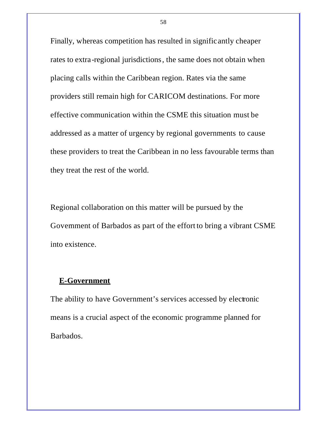Finally, whereas competition has resulted in significantly cheaper rates to extra-regional jurisdictions, the same does not obtain when placing calls within the Caribbean region. Rates via the same providers still remain high for CARICOM destinations. For more effective communication within the CSME this situation must be addressed as a matter of urgency by regional governments to cause these providers to treat the Caribbean in no less favourable terms than they treat the rest of the world.

Regional collaboration on this matter will be pursued by the Government of Barbados as part of the effort to bring a vibrant CSME into existence.

### **E-Government**

The ability to have Government's services accessed by electronic means is a crucial aspect of the economic programme planned for Barbados.

58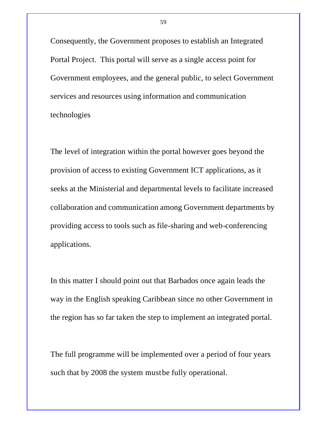Consequently, the Government proposes to establish an Integrated Portal Project. This portal will serve as a single access point for Government employees, and the general public, to select Government services and resources using information and communication technologies

The level of integration within the portal however goes beyond the provision of access to existing Government ICT applications, as it seeks at the Ministerial and departmental levels to facilitate increased collaboration and communication among Government departments by providing access to tools such as file-sharing and web-conferencing applications.

In this matter I should point out that Barbados once again leads the way in the English speaking Caribbean since no other Government in the region has so far taken the step to implement an integrated portal.

The full programme will be implemented over a period of four years such that by 2008 the system must be fully operational.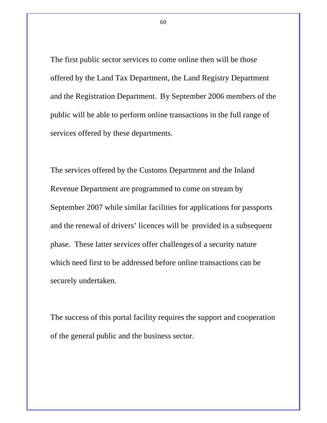The first public sector services to come online then will be those offered by the Land Tax Department, the Land Registry Department and the Registration Department. By September 2006 members of the public will be able to perform online transactions in the full range of services offered by these departments.

The services offered by the Customs Department and the Inland Revenue Department are programmed to come on stream by September 2007 while similar facilities for applications for passports and the renewal of drivers' licences will be provided in a subsequent phase. These latter services offer challenges of a security nature which need first to be addressed before online transactions can be securely undertaken.

The success of this portal facility requires the support and cooperation of the general public and the business sector.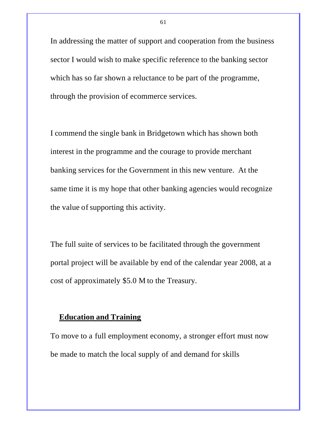In addressing the matter of support and cooperation from the business sector I would wish to make specific reference to the banking sector which has so far shown a reluctance to be part of the programme, through the provision of ecommerce services.

I commend the single bank in Bridgetown which has shown both interest in the programme and the courage to provide merchant banking services for the Government in this new venture. At the same time it is my hope that other banking agencies would recognize the value of supporting this activity.

The full suite of services to be facilitated through the government portal project will be available by end of the calendar year 2008, at a cost of approximately \$5.0 M to the Treasury.

### **Education and Training**

To move to a full employment economy, a stronger effort must now be made to match the local supply of and demand for skills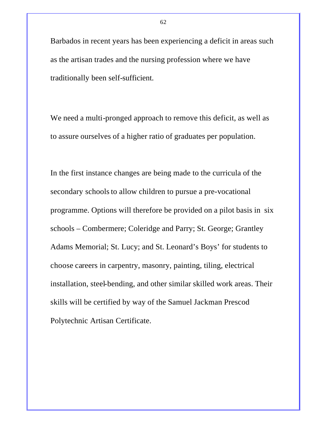Barbados in recent years has been experiencing a deficit in areas such as the artisan trades and the nursing profession where we have traditionally been self-sufficient.

We need a multi-pronged approach to remove this deficit, as well as to assure ourselves of a higher ratio of graduates per population.

In the first instance changes are being made to the curricula of the secondary schools to allow children to pursue a pre-vocational programme. Options will therefore be provided on a pilot basis in six schools – Combermere; Coleridge and Parry; St. George; Grantley Adams Memorial; St. Lucy; and St. Leonard's Boys' for students to choose careers in carpentry, masonry, painting, tiling, electrical installation, steel-bending, and other similar skilled work areas. Their skills will be certified by way of the Samuel Jackman Prescod Polytechnic Artisan Certificate.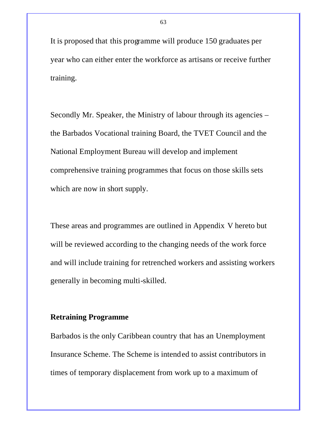It is proposed that this programme will produce 150 graduates per year who can either enter the workforce as artisans or receive further training.

Secondly Mr. Speaker, the Ministry of labour through its agencies – the Barbados Vocational training Board, the TVET Council and the National Employment Bureau will develop and implement comprehensive training programmes that focus on those skills sets which are now in short supply.

These areas and programmes are outlined in Appendix V hereto but will be reviewed according to the changing needs of the work force and will include training for retrenched workers and assisting workers generally in becoming multi-skilled.

# **Retraining Programme**

Barbados is the only Caribbean country that has an Unemployment Insurance Scheme. The Scheme is intended to assist contributors in times of temporary displacement from work up to a maximum of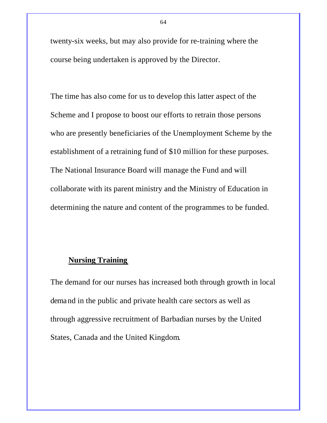twenty-six weeks, but may also provide for re-training where the course being undertaken is approved by the Director.

The time has also come for us to develop this latter aspect of the Scheme and I propose to boost our efforts to retrain those persons who are presently beneficiaries of the Unemployment Scheme by the establishment of a retraining fund of \$10 million for these purposes. The National Insurance Board will manage the Fund and will collaborate with its parent ministry and the Ministry of Education in determining the nature and content of the programmes to be funded.

# **Nursing Training**

The demand for our nurses has increased both through growth in local demand in the public and private health care sectors as well as through aggressive recruitment of Barbadian nurses by the United States, Canada and the United Kingdom.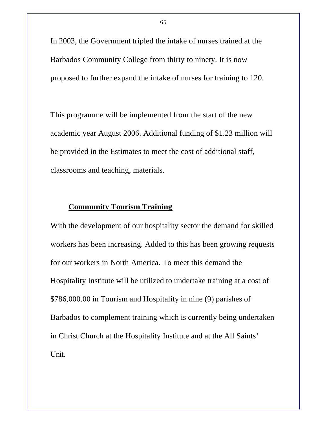In 2003, the Government tripled the intake of nurses trained at the Barbados Community College from thirty to ninety. It is now proposed to further expand the intake of nurses for training to 120.

This programme will be implemented from the start of the new academic year August 2006. Additional funding of \$1.23 million will be provided in the Estimates to meet the cost of additional staff, classrooms and teaching, materials.

# **Community Tourism Training**

With the development of our hospitality sector the demand for skilled workers has been increasing. Added to this has been growing requests for our workers in North America. To meet this demand the Hospitality Institute will be utilized to undertake training at a cost of \$786,000.00 in Tourism and Hospitality in nine (9) parishes of Barbados to complement training which is currently being undertaken in Christ Church at the Hospitality Institute and at the All Saints' Unit.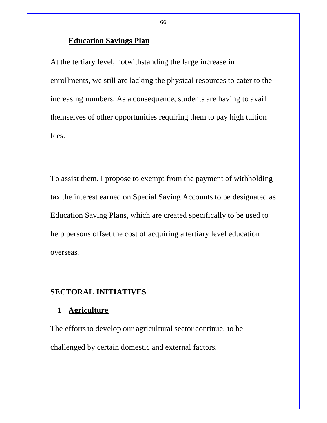# **Education Savings Plan**

At the tertiary level, notwithstanding the large increase in enrollments, we still are lacking the physical resources to cater to the increasing numbers. As a consequence, students are having to avail themselves of other opportunities requiring them to pay high tuition fees.

To assist them, I propose to exempt from the payment of withholding tax the interest earned on Special Saving Accounts to be designated as Education Saving Plans, which are created specifically to be used to help persons offset the cost of acquiring a tertiary level education overseas.

# **SECTORAL INITIATIVES**

# 1 **Agriculture**

The efforts to develop our agricultural sector continue, to be challenged by certain domestic and external factors.

66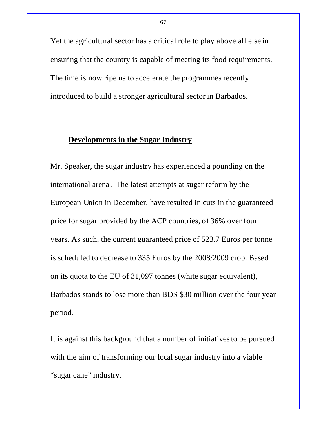Yet the agricultural sector has a critical role to play above all else in ensuring that the country is capable of meeting its food requirements. The time is now ripe us to accelerate the programmes recently introduced to build a stronger agricultural sector in Barbados.

# **Developments in the Sugar Industry**

Mr. Speaker, the sugar industry has experienced a pounding on the international arena. The latest attempts at sugar reform by the European Union in December, have resulted in cuts in the guaranteed price for sugar provided by the ACP countries, of 36% over four years. As such, the current guaranteed price of 523.7 Euros per tonne is scheduled to decrease to 335 Euros by the 2008/2009 crop. Based on its quota to the EU of 31,097 tonnes (white sugar equivalent), Barbados stands to lose more than BDS \$30 million over the four year period.

It is against this background that a number of initiatives to be pursued with the aim of transforming our local sugar industry into a viable "sugar cane" industry.

67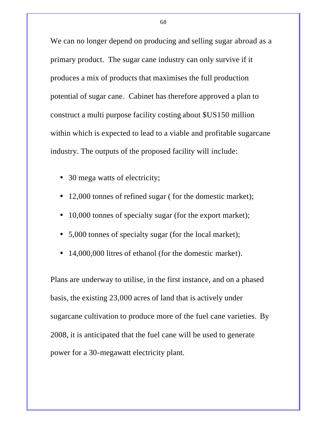We can no longer depend on producing and selling sugar abroad as a primary product. The sugar cane industry can only survive if it produces a mix of products that maximises the full production potential of sugar cane. Cabinet has therefore approved a plan to construct a multi purpose facility costing about \$US150 million within which is expected to lead to a viable and profitable sugarcane industry. The outputs of the proposed facility will include:

- 30 mega watts of electricity;
- 12,000 tonnes of refined sugar (for the domestic market);
- 10,000 tonnes of specialty sugar (for the export market);
- 5,000 tonnes of specialty sugar (for the local market);
- 14,000,000 litres of ethanol (for the domestic market).

Plans are underway to utilise, in the first instance, and on a phased basis, the existing 23,000 acres of land that is actively under sugarcane cultivation to produce more of the fuel cane varieties. By 2008, it is anticipated that the fuel cane will be used to generate power for a 30-megawatt electricity plant.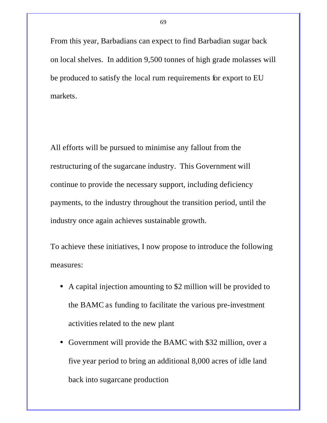From this year, Barbadians can expect to find Barbadian sugar back on local shelves. In addition 9,500 tonnes of high grade molasses will be produced to satisfy the local rum requirements for export to EU markets.

All efforts will be pursued to minimise any fallout from the restructuring of the sugarcane industry. This Government will continue to provide the necessary support, including deficiency payments, to the industry throughout the transition period, until the industry once again achieves sustainable growth.

To achieve these initiatives, I now propose to introduce the following measures:

- A capital injection amounting to \$2 million will be provided to the BAMC as funding to facilitate the various pre-investment activities related to the new plant
- Government will provide the BAMC with \$32 million, over a five year period to bring an additional 8,000 acres of idle land back into sugarcane production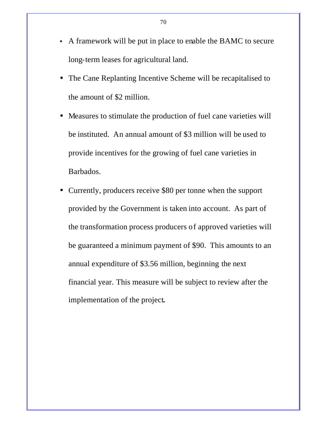- A framework will be put in place to enable the BAMC to secure long-term leases for agricultural land.
- The Cane Replanting Incentive Scheme will be recapitalised to the amount of \$2 million.
- Measures to stimulate the production of fuel cane varieties will be instituted. An annual amount of \$3 million will be used to provide incentives for the growing of fuel cane varieties in Barbados.
- Currently, producers receive \$80 per tonne when the support provided by the Government is taken into account. As part of the transformation process producers of approved varieties will be guaranteed a minimum payment of \$90. This amounts to an annual expenditure of \$3.56 million, beginning the next financial year. This measure will be subject to review after the implementation of the project*.*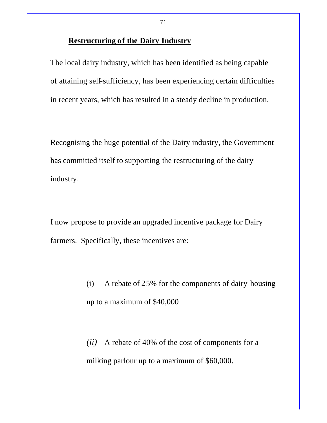# **Restructuring of the Dairy Industry**

The local dairy industry, which has been identified as being capable of attaining self-sufficiency, has been experiencing certain difficulties in recent years, which has resulted in a steady decline in production.

Recognising the huge potential of the Dairy industry, the Government has committed itself to supporting the restructuring of the dairy industry.

I now propose to provide an upgraded incentive package for Dairy farmers. Specifically, these incentives are:

> (i) A rebate of 25% for the components of dairy housing up to a maximum of \$40,000

*(ii)* A rebate of 40% of the cost of components for a milking parlour up to a maximum of \$60,000.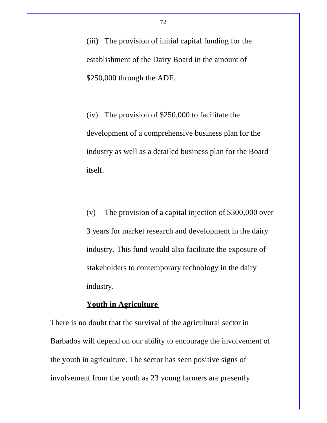(iii) The provision of initial capital funding for the establishment of the Dairy Board in the amount of \$250,000 through the ADF.

(iv) The provision of \$250,000 to facilitate the development of a comprehensive business plan for the industry as well as a detailed business plan for the Board itself.

(v) The provision of a capital injection of \$300,000 over 3 years for market research and development in the dairy industry. This fund would also facilitate the exposure of stakeholders to contemporary technology in the dairy industry.

### **Youth in Agriculture**

There is no doubt that the survival of the agricultural sector in Barbados will depend on our ability to encourage the involvement of the youth in agriculture. The sector has seen positive signs of involvement from the youth as 23 young farmers are presently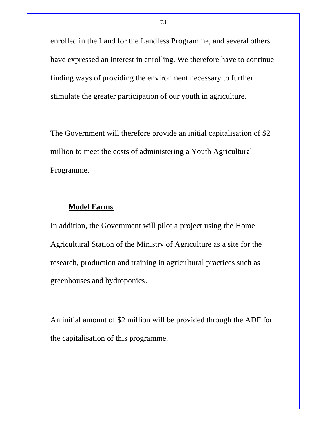enrolled in the Land for the Landless Programme, and several others have expressed an interest in enrolling. We therefore have to continue finding ways of providing the environment necessary to further stimulate the greater participation of our youth in agriculture.

The Government will therefore provide an initial capitalisation of \$2 million to meet the costs of administering a Youth Agricultural Programme.

### **Model Farms**

In addition, the Government will pilot a project using the Home Agricultural Station of the Ministry of Agriculture as a site for the research, production and training in agricultural practices such as greenhouses and hydroponics.

An initial amount of \$2 million will be provided through the ADF for the capitalisation of this programme.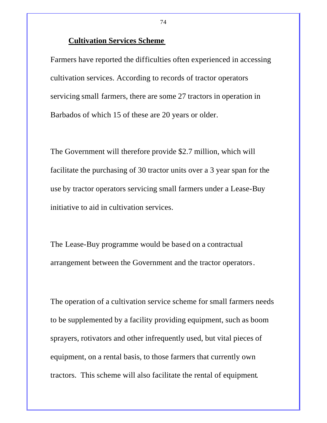#### **Cultivation Services Scheme**

Farmers have reported the difficulties often experienced in accessing cultivation services. According to records of tractor operators servicing small farmers, there are some 27 tractors in operation in Barbados of which 15 of these are 20 years or older.

The Government will therefore provide \$2.7 million, which will facilitate the purchasing of 30 tractor units over a 3 year span for the use by tractor operators servicing small farmers under a Lease-Buy initiative to aid in cultivation services.

The Lease-Buy programme would be based on a contractual arrangement between the Government and the tractor operators.

The operation of a cultivation service scheme for small farmers needs to be supplemented by a facility providing equipment, such as boom sprayers, rotivators and other infrequently used, but vital pieces of equipment, on a rental basis, to those farmers that currently own tractors. This scheme will also facilitate the rental of equipment.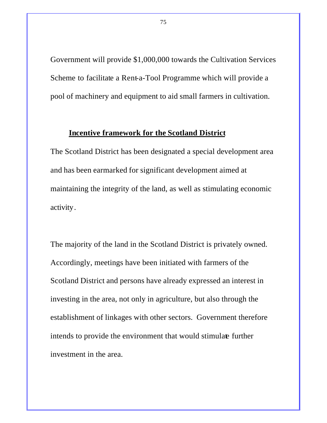Government will provide \$1,000,000 towards the Cultivation Services Scheme to facilitate a Rent-a-Tool Programme which will provide a pool of machinery and equipment to aid small farmers in cultivation.

### **Incentive framework for the Scotland District**

The Scotland District has been designated a special development area and has been earmarked for significant development aimed at maintaining the integrity of the land, as well as stimulating economic activity.

The majority of the land in the Scotland District is privately owned. Accordingly, meetings have been initiated with farmers of the Scotland District and persons have already expressed an interest in investing in the area, not only in agriculture, but also through the establishment of linkages with other sectors. Government therefore intends to provide the environment that would stimulate further investment in the area.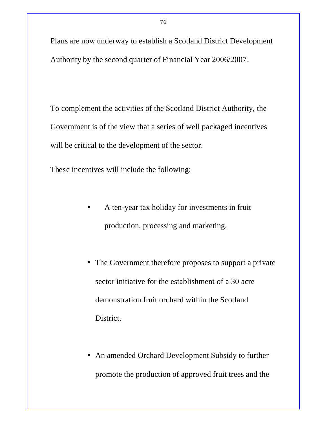Plans are now underway to establish a Scotland District Development Authority by the second quarter of Financial Year 2006/2007.

To complement the activities of the Scotland District Authority, the Government is of the view that a series of well packaged incentives will be critical to the development of the sector.

These incentives will include the following:

- A ten-year tax holiday for investments in fruit production, processing and marketing.
- The Government therefore proposes to support a private sector initiative for the establishment of a 30 acre demonstration fruit orchard within the Scotland District.
- An amended Orchard Development Subsidy to further promote the production of approved fruit trees and the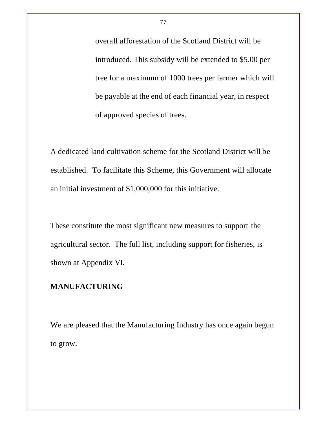overall afforestation of the Scotland District will be introduced. This subsidy will be extended to \$5.00 per tree for a maximum of 1000 trees per farmer which will be payable at the end of each financial year, in respect of approved species of trees.

A dedicated land cultivation scheme for the Scotland District will be established. To facilitate this Scheme, this Government will allocate an initial investment of \$1,000,000 for this initiative.

These constitute the most significant new measures to support the agricultural sector. The full list, including support for fisheries, is shown at Appendix VI.

### **MANUFACTURING**

We are pleased that the Manufacturing Industry has once again begun to grow.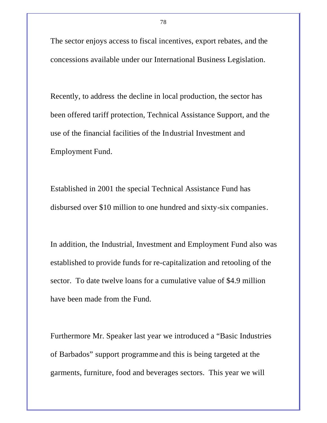The sector enjoys access to fiscal incentives, export rebates, and the concessions available under our International Business Legislation.

Recently, to address the decline in local production, the sector has been offered tariff protection, Technical Assistance Support, and the use of the financial facilities of the Industrial Investment and Employment Fund.

Established in 2001 the special Technical Assistance Fund has disbursed over \$10 million to one hundred and sixty-six companies.

In addition, the Industrial, Investment and Employment Fund also was established to provide funds for re-capitalization and retooling of the sector. To date twelve loans for a cumulative value of \$4.9 million have been made from the Fund.

Furthermore Mr. Speaker last year we introduced a "Basic Industries of Barbados" support programme and this is being targeted at the garments, furniture, food and beverages sectors. This year we will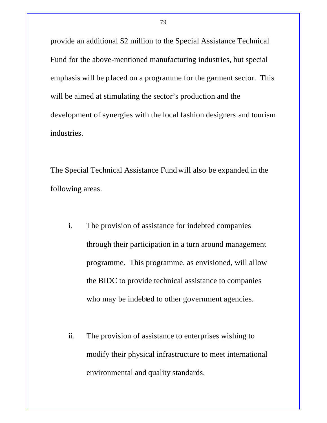provide an additional \$2 million to the Special Assistance Technical Fund for the above-mentioned manufacturing industries, but special emphasis will be placed on a programme for the garment sector. This will be aimed at stimulating the sector's production and the development of synergies with the local fashion designers and tourism industries.

The Special Technical Assistance Fund will also be expanded in the following areas.

- i. The provision of assistance for indebted companies through their participation in a turn around management programme. This programme, as envisioned, will allow the BIDC to provide technical assistance to companies who may be indebted to other government agencies.
- ii. The provision of assistance to enterprises wishing to modify their physical infrastructure to meet international environmental and quality standards.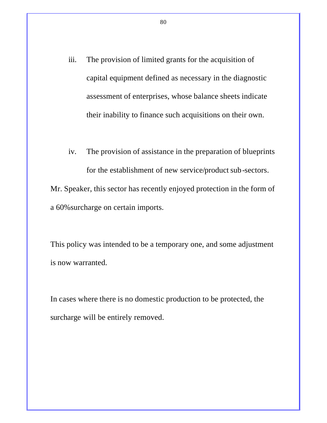- iii. The provision of limited grants for the acquisition of capital equipment defined as necessary in the diagnostic assessment of enterprises, whose balance sheets indicate their inability to finance such acquisitions on their own.
- iv. The provision of assistance in the preparation of blueprints for the establishment of new service/product sub-sectors.

Mr. Speaker, this sector has recently enjoyed protection in the form of a 60%surcharge on certain imports.

This policy was intended to be a temporary one, and some adjustment is now warranted.

In cases where there is no domestic production to be protected, the surcharge will be entirely removed.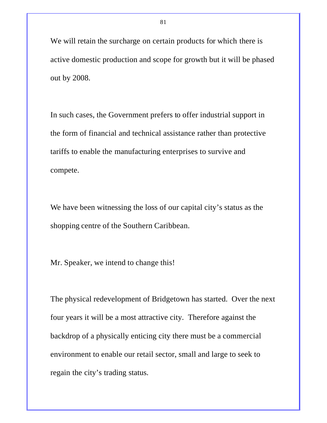We will retain the surcharge on certain products for which there is active domestic production and scope for growth but it will be phased out by 2008.

In such cases, the Government prefers to offer industrial support in the form of financial and technical assistance rather than protective tariffs to enable the manufacturing enterprises to survive and compete.

We have been witnessing the loss of our capital city's status as the shopping centre of the Southern Caribbean.

Mr. Speaker, we intend to change this!

The physical redevelopment of Bridgetown has started. Over the next four years it will be a most attractive city. Therefore against the backdrop of a physically enticing city there must be a commercial environment to enable our retail sector, small and large to seek to regain the city's trading status.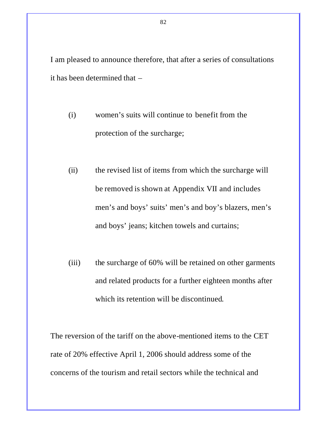I am pleased to announce therefore, that after a series of consultations it has been determined that –

- (i) women's suits will continue to benefit from the protection of the surcharge;
- (ii) the revised list of items from which the surcharge will be removed is shown at Appendix VII and includes men's and boys' suits' men's and boy's blazers, men's and boys' jeans; kitchen towels and curtains;
- (iii) the surcharge of 60% will be retained on other garments and related products for a further eighteen months after which its retention will be discontinued.

The reversion of the tariff on the above-mentioned items to the CET rate of 20% effective April 1, 2006 should address some of the concerns of the tourism and retail sectors while the technical and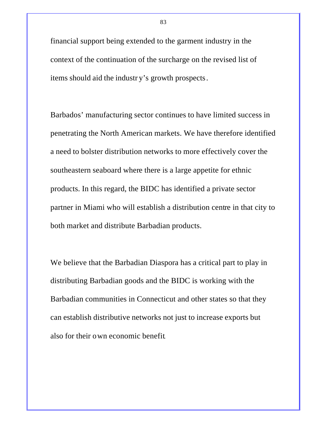financial support being extended to the garment industry in the context of the continuation of the surcharge on the revised list of items should aid the industr y's growth prospects.

Barbados' manufacturing sector continues to have limited success in penetrating the North American markets. We have therefore identified a need to bolster distribution networks to more effectively cover the southeastern seaboard where there is a large appetite for ethnic products. In this regard, the BIDC has identified a private sector partner in Miami who will establish a distribution centre in that city to both market and distribute Barbadian products.

We believe that the Barbadian Diaspora has a critical part to play in distributing Barbadian goods and the BIDC is working with the Barbadian communities in Connecticut and other states so that they can establish distributive networks not just to increase exports but also for their own economic benefit.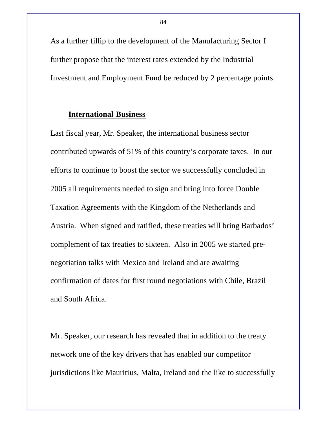As a further fillip to the development of the Manufacturing Sector I further propose that the interest rates extended by the Industrial Investment and Employment Fund be reduced by 2 percentage points.

#### **International Business**

Last fiscal year, Mr. Speaker, the international business sector contributed upwards of 51% of this country's corporate taxes. In our efforts to continue to boost the sector we successfully concluded in 2005 all requirements needed to sign and bring into force Double Taxation Agreements with the Kingdom of the Netherlands and Austria. When signed and ratified, these treaties will bring Barbados' complement of tax treaties to sixteen. Also in 2005 we started prenegotiation talks with Mexico and Ireland and are awaiting confirmation of dates for first round negotiations with Chile, Brazil and South Africa.

Mr. Speaker, our research has revealed that in addition to the treaty network one of the key drivers that has enabled our competitor jurisdictions like Mauritius, Malta, Ireland and the like to successfully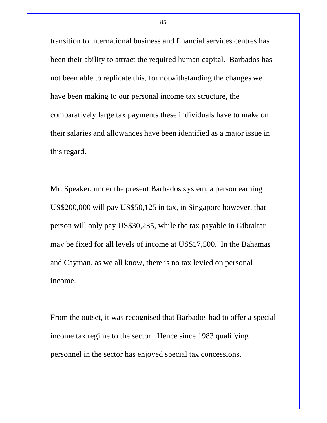transition to international business and financial services centres has been their ability to attract the required human capital. Barbados has not been able to replicate this, for notwithstanding the changes we have been making to our personal income tax structure, the comparatively large tax payments these individuals have to make on their salaries and allowances have been identified as a major issue in this regard.

Mr. Speaker, under the present Barbados system, a person earning US\$200,000 will pay US\$50,125 in tax, in Singapore however, that person will only pay US\$30,235, while the tax payable in Gibraltar may be fixed for all levels of income at US\$17,500. In the Bahamas and Cayman, as we all know, there is no tax levied on personal income.

From the outset, it was recognised that Barbados had to offer a special income tax regime to the sector. Hence since 1983 qualifying personnel in the sector has enjoyed special tax concessions.

85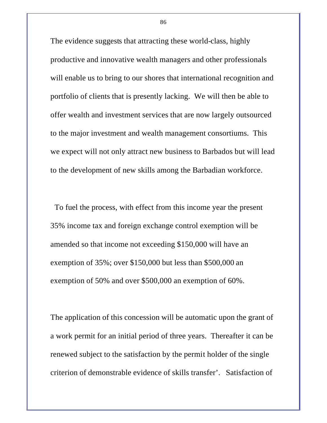The evidence suggests that attracting these world-class, highly productive and innovative wealth managers and other professionals will enable us to bring to our shores that international recognition and portfolio of clients that is presently lacking. We will then be able to offer wealth and investment services that are now largely outsourced to the major investment and wealth management consortiums. This we expect will not only attract new business to Barbados but will lead to the development of new skills among the Barbadian workforce.

 To fuel the process, with effect from this income year the present 35% income tax and foreign exchange control exemption will be amended so that income not exceeding \$150,000 will have an exemption of 35%; over \$150,000 but less than \$500,000 an exemption of 50% and over \$500,000 an exemption of 60%.

The application of this concession will be automatic upon the grant of a work permit for an initial period of three years. Thereafter it can be renewed subject to the satisfaction by the permit holder of the single criterion of demonstrable evidence of skills transfer'. Satisfaction of

86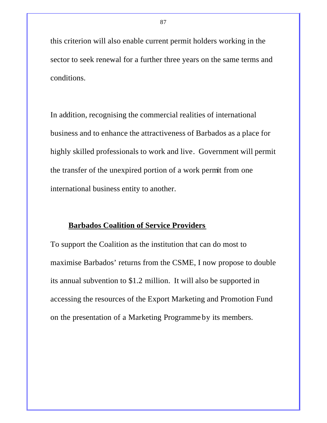this criterion will also enable current permit holders working in the sector to seek renewal for a further three years on the same terms and conditions.

In addition, recognising the commercial realities of international business and to enhance the attractiveness of Barbados as a place for highly skilled professionals to work and live. Government will permit the transfer of the unexpired portion of a work permit from one international business entity to another.

### **Barbados Coalition of Service Providers**

To support the Coalition as the institution that can do most to maximise Barbados' returns from the CSME, I now propose to double its annual subvention to \$1.2 million. It will also be supported in accessing the resources of the Export Marketing and Promotion Fund on the presentation of a Marketing Programme by its members.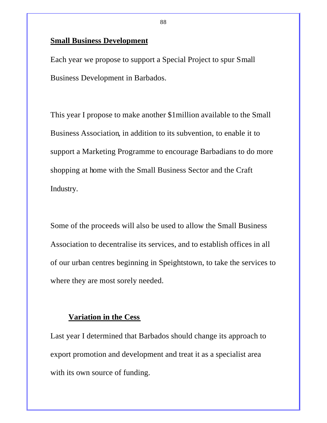### **Small Business Development**

Each year we propose to support a Special Project to spur Small Business Development in Barbados.

This year I propose to make another \$1million available to the Small Business Association, in addition to its subvention, to enable it to support a Marketing Programme to encourage Barbadians to do more shopping at home with the Small Business Sector and the Craft Industry.

Some of the proceeds will also be used to allow the Small Business Association to decentralise its services, and to establish offices in all of our urban centres beginning in Speightstown, to take the services to where they are most sorely needed.

### **Variation in the Cess**

Last year I determined that Barbados should change its approach to export promotion and development and treat it as a specialist area with its own source of funding.

88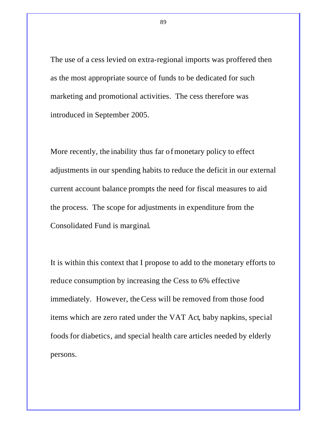The use of a cess levied on extra-regional imports was proffered then as the most appropriate source of funds to be dedicated for such marketing and promotional activities. The cess therefore was introduced in September 2005.

More recently, the inability thus far of monetary policy to effect adjustments in our spending habits to reduce the deficit in our external current account balance prompts the need for fiscal measures to aid the process. The scope for adjustments in expenditure from the Consolidated Fund is marginal.

It is within this context that I propose to add to the monetary efforts to reduce consumption by increasing the Cess to 6% effective immediately. However, the Cess will be removed from those food items which are zero rated under the VAT Act, baby napkins, special foods for diabetics, and special health care articles needed by elderly persons.

89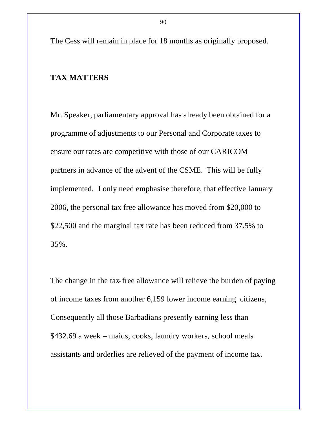The Cess will remain in place for 18 months as originally proposed.

### **TAX MATTERS**

Mr. Speaker, parliamentary approval has already been obtained for a programme of adjustments to our Personal and Corporate taxes to ensure our rates are competitive with those of our CARICOM partners in advance of the advent of the CSME. This will be fully implemented. I only need emphasise therefore, that effective January 2006, the personal tax free allowance has moved from \$20,000 to \$22,500 and the marginal tax rate has been reduced from 37.5% to 35%.

The change in the tax-free allowance will relieve the burden of paying of income taxes from another 6,159 lower income earning citizens, Consequently all those Barbadians presently earning less than \$432.69 a week – maids, cooks, laundry workers, school meals assistants and orderlies are relieved of the payment of income tax.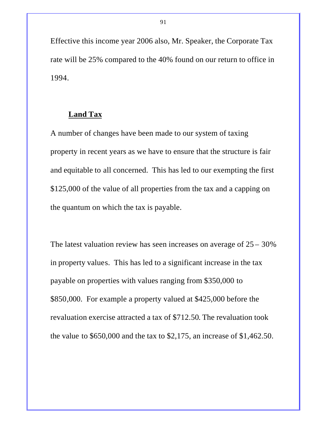Effective this income year 2006 also, Mr. Speaker, the Corporate Tax rate will be 25% compared to the 40% found on our return to office in 1994.

#### **Land Tax**

A number of changes have been made to our system of taxing property in recent years as we have to ensure that the structure is fair and equitable to all concerned. This has led to our exempting the first \$125,000 of the value of all properties from the tax and a capping on the quantum on which the tax is payable.

The latest valuation review has seen increases on average of  $25 - 30\%$ in property values. This has led to a significant increase in the tax payable on properties with values ranging from \$350,000 to \$850,000. For example a property valued at \$425,000 before the revaluation exercise attracted a tax of \$712.50. The revaluation took the value to \$650,000 and the tax to \$2,175, an increase of \$1,462.50.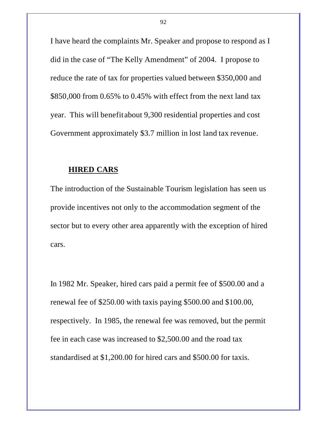I have heard the complaints Mr. Speaker and propose to respond as I did in the case of "The Kelly Amendment" of 2004. I propose to reduce the rate of tax for properties valued between \$350,000 and \$850,000 from 0.65% to 0.45% with effect from the next land tax year. This will benefit about 9,300 residential properties and cost Government approximately \$3.7 million in lost land tax revenue.

#### **HIRED CARS**

The introduction of the Sustainable Tourism legislation has seen us provide incentives not only to the accommodation segment of the sector but to every other area apparently with the exception of hired cars.

In 1982 Mr. Speaker, hired cars paid a permit fee of \$500.00 and a renewal fee of \$250.00 with taxis paying \$500.00 and \$100.00, respectively. In 1985, the renewal fee was removed, but the permit fee in each case was increased to \$2,500.00 and the road tax standardised at \$1,200.00 for hired cars and \$500.00 for taxis.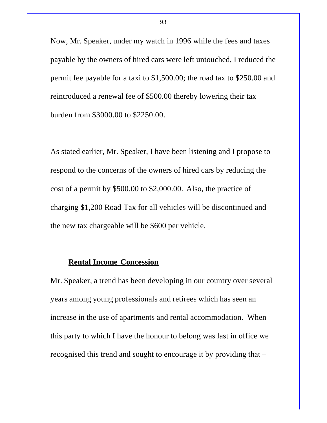Now, Mr. Speaker, under my watch in 1996 while the fees and taxes payable by the owners of hired cars were left untouched, I reduced the permit fee payable for a taxi to \$1,500.00; the road tax to \$250.00 and reintroduced a renewal fee of \$500.00 thereby lowering their tax burden from \$3000.00 to \$2250.00.

As stated earlier, Mr. Speaker, I have been listening and I propose to respond to the concerns of the owners of hired cars by reducing the cost of a permit by \$500.00 to \$2,000.00. Also, the practice of charging \$1,200 Road Tax for all vehicles will be discontinued and the new tax chargeable will be \$600 per vehicle.

### **Rental Income Concession**

Mr. Speaker, a trend has been developing in our country over several years among young professionals and retirees which has seen an increase in the use of apartments and rental accommodation. When this party to which I have the honour to belong was last in office we recognised this trend and sought to encourage it by providing that –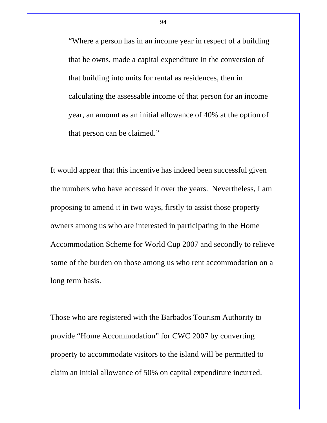"Where a person has in an income year in respect of a building that he owns, made a capital expenditure in the conversion of that building into units for rental as residences, then in calculating the assessable income of that person for an income year, an amount as an initial allowance of 40% at the option of that person can be claimed."

It would appear that this incentive has indeed been successful given the numbers who have accessed it over the years. Nevertheless, I am proposing to amend it in two ways, firstly to assist those property owners among us who are interested in participating in the Home Accommodation Scheme for World Cup 2007 and secondly to relieve some of the burden on those among us who rent accommodation on a long term basis.

Those who are registered with the Barbados Tourism Authority to provide "Home Accommodation" for CWC 2007 by converting property to accommodate visitors to the island will be permitted to claim an initial allowance of 50% on capital expenditure incurred.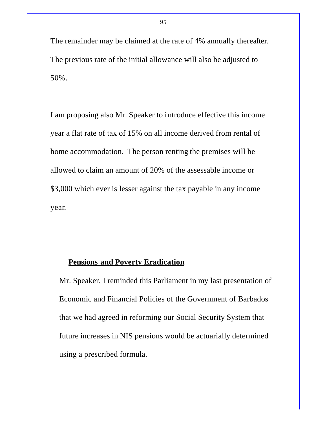The remainder may be claimed at the rate of 4% annually thereafter. The previous rate of the initial allowance will also be adjusted to 50%.

I am proposing also Mr. Speaker to introduce effective this income year a flat rate of tax of 15% on all income derived from rental of home accommodation. The person renting the premises will be allowed to claim an amount of 20% of the assessable income or \$3,000 which ever is lesser against the tax payable in any income year.

### **Pensions and Poverty Eradication**

Mr. Speaker, I reminded this Parliament in my last presentation of Economic and Financial Policies of the Government of Barbados that we had agreed in reforming our Social Security System that future increases in NIS pensions would be actuarially determined using a prescribed formula.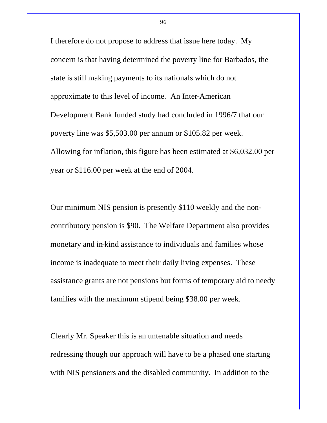I therefore do not propose to address that issue here today. My concern is that having determined the poverty line for Barbados, the state is still making payments to its nationals which do not approximate to this level of income. An Inter-American Development Bank funded study had concluded in 1996/7 that our poverty line was \$5,503.00 per annum or \$105.82 per week. Allowing for inflation, this figure has been estimated at \$6,032.00 per year or \$116.00 per week at the end of 2004.

Our minimum NIS pension is presently \$110 weekly and the noncontributory pension is \$90. The Welfare Department also provides monetary and in-kind assistance to individuals and families whose income is inadequate to meet their daily living expenses. These assistance grants are not pensions but forms of temporary aid to needy families with the maximum stipend being \$38.00 per week.

Clearly Mr. Speaker this is an untenable situation and needs redressing though our approach will have to be a phased one starting with NIS pensioners and the disabled community. In addition to the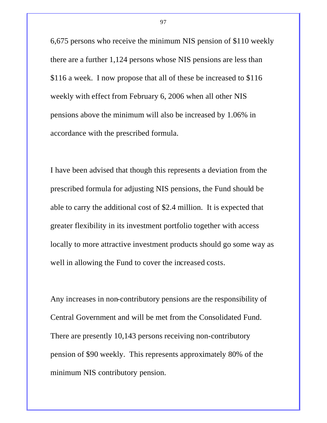6,675 persons who receive the minimum NIS pension of \$110 weekly there are a further 1,124 persons whose NIS pensions are less than \$116 a week. I now propose that all of these be increased to \$116 weekly with effect from February 6, 2006 when all other NIS pensions above the minimum will also be increased by 1.06% in accordance with the prescribed formula.

I have been advised that though this represents a deviation from the prescribed formula for adjusting NIS pensions, the Fund should be able to carry the additional cost of \$2.4 million. It is expected that greater flexibility in its investment portfolio together with access locally to more attractive investment products should go some way as well in allowing the Fund to cover the increased costs.

Any increases in non-contributory pensions are the responsibility of Central Government and will be met from the Consolidated Fund. There are presently 10,143 persons receiving non-contributory pension of \$90 weekly. This represents approximately 80% of the minimum NIS contributory pension.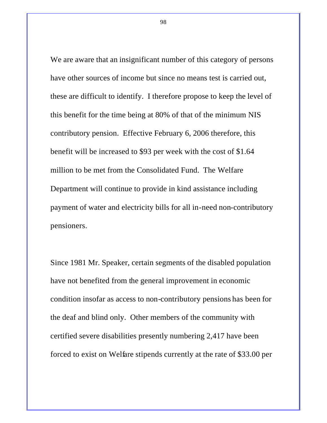We are aware that an insignificant number of this category of persons have other sources of income but since no means test is carried out, these are difficult to identify. I therefore propose to keep the level of this benefit for the time being at 80% of that of the minimum NIS contributory pension. Effective February 6, 2006 therefore, this benefit will be increased to \$93 per week with the cost of \$1.64 million to be met from the Consolidated Fund. The Welfare Department will continue to provide in kind assistance including payment of water and electricity bills for all in-need non-contributory pensioners.

Since 1981 Mr. Speaker, certain segments of the disabled population have not benefited from the general improvement in economic condition insofar as access to non-contributory pensions has been for the deaf and blind only. Other members of the community with certified severe disabilities presently numbering 2,417 have been forced to exist on Welfare stipends currently at the rate of \$33.00 per

98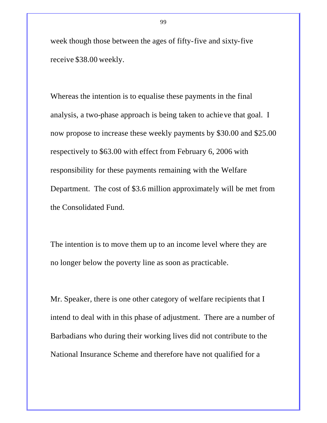week though those between the ages of fifty-five and sixty-five receive \$38.00 weekly.

Whereas the intention is to equalise these payments in the final analysis, a two-phase approach is being taken to achieve that goal. I now propose to increase these weekly payments by \$30.00 and \$25.00 respectively to \$63.00 with effect from February 6, 2006 with responsibility for these payments remaining with the Welfare Department. The cost of \$3.6 million approximately will be met from the Consolidated Fund.

The intention is to move them up to an income level where they are no longer below the poverty line as soon as practicable.

Mr. Speaker, there is one other category of welfare recipients that I intend to deal with in this phase of adjustment. There are a number of Barbadians who during their working lives did not contribute to the National Insurance Scheme and therefore have not qualified for a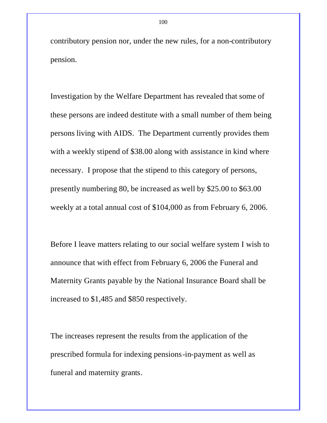contributory pension nor, under the new rules, for a non-contributory pension.

Investigation by the Welfare Department has revealed that some of these persons are indeed destitute with a small number of them being persons living with AIDS. The Department currently provides them with a weekly stipend of \$38.00 along with assistance in kind where necessary. I propose that the stipend to this category of persons, presently numbering 80, be increased as well by \$25.00 to \$63.00 weekly at a total annual cost of \$104,000 as from February 6, 2006.

Before I leave matters relating to our social welfare system I wish to announce that with effect from February 6, 2006 the Funeral and Maternity Grants payable by the National Insurance Board shall be increased to \$1,485 and \$850 respectively.

The increases represent the results from the application of the prescribed formula for indexing pensions-in-payment as well as funeral and maternity grants.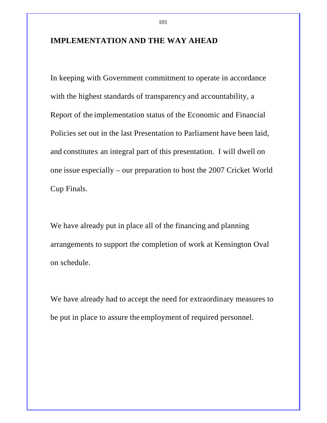## **IMPLEMENTATION AND THE WAY AHEAD**

In keeping with Government commitment to operate in accordance with the highest standards of transparency and accountability, a Report of the implementation status of the Economic and Financial Policies set out in the last Presentation to Parliament have been laid, and constitutes an integral part of this presentation. I will dwell on one issue especially – our preparation to host the 2007 Cricket World Cup Finals.

We have already put in place all of the financing and planning arrangements to support the completion of work at Kensington Oval on schedule.

We have already had to accept the need for extraordinary measures to be put in place to assure the employment of required personnel.

101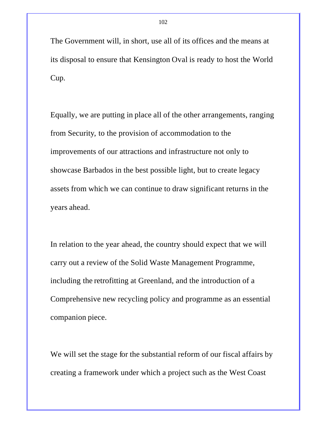The Government will, in short, use all of its offices and the means at its disposal to ensure that Kensington Oval is ready to host the World Cup.

Equally, we are putting in place all of the other arrangements, ranging from Security, to the provision of accommodation to the improvements of our attractions and infrastructure not only to showcase Barbados in the best possible light, but to create legacy assets from which we can continue to draw significant returns in the years ahead.

In relation to the year ahead, the country should expect that we will carry out a review of the Solid Waste Management Programme, including the retrofitting at Greenland, and the introduction of a Comprehensive new recycling policy and programme as an essential companion piece.

We will set the stage for the substantial reform of our fiscal affairs by creating a framework under which a project such as the West Coast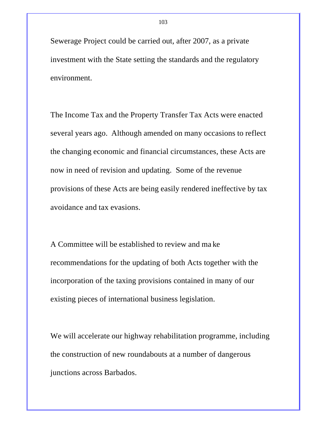Sewerage Project could be carried out, after 2007, as a private investment with the State setting the standards and the regulatory environment.

The Income Tax and the Property Transfer Tax Acts were enacted several years ago. Although amended on many occasions to reflect the changing economic and financial circumstances, these Acts are now in need of revision and updating. Some of the revenue provisions of these Acts are being easily rendered ineffective by tax avoidance and tax evasions.

A Committee will be established to review and ma ke recommendations for the updating of both Acts together with the incorporation of the taxing provisions contained in many of our existing pieces of international business legislation.

We will accelerate our highway rehabilitation programme, including the construction of new roundabouts at a number of dangerous junctions across Barbados.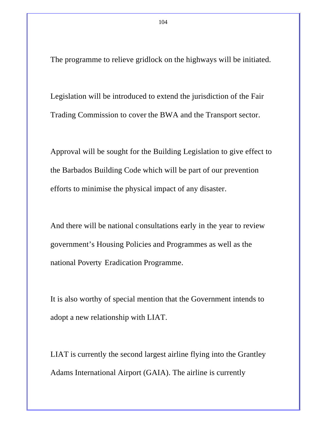The programme to relieve gridlock on the highways will be initiated.

Legislation will be introduced to extend the jurisdiction of the Fair Trading Commission to cover the BWA and the Transport sector.

Approval will be sought for the Building Legislation to give effect to the Barbados Building Code which will be part of our prevention efforts to minimise the physical impact of any disaster.

And there will be national consultations early in the year to review government's Housing Policies and Programmes as well as the national Poverty Eradication Programme.

It is also worthy of special mention that the Government intends to adopt a new relationship with LIAT.

LIAT is currently the second largest airline flying into the Grantley Adams International Airport (GAIA). The airline is currently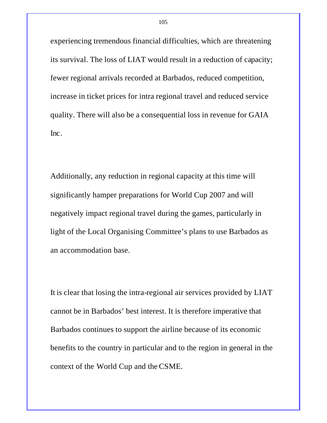experiencing tremendous financial difficulties, which are threatening its survival. The loss of LIAT would result in a reduction of capacity; fewer regional arrivals recorded at Barbados, reduced competition, increase in ticket prices for intra regional travel and reduced service quality. There will also be a consequential loss in revenue for GAIA Inc.

Additionally, any reduction in regional capacity at this time will significantly hamper preparations for World Cup 2007 and will negatively impact regional travel during the games, particularly in light of the Local Organising Committee's plans to use Barbados as an accommodation base.

It is clear that losing the intra-regional air services provided by LIAT cannot be in Barbados' best interest. It is therefore imperative that Barbados continues to support the airline because of its economic benefits to the country in particular and to the region in general in the context of the World Cup and the CSME.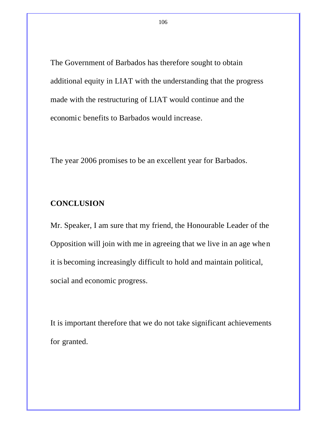The Government of Barbados has therefore sought to obtain additional equity in LIAT with the understanding that the progress made with the restructuring of LIAT would continue and the economic benefits to Barbados would increase.

The year 2006 promises to be an excellent year for Barbados.

# **CONCLUSION**

Mr. Speaker, I am sure that my friend, the Honourable Leader of the Opposition will join with me in agreeing that we live in an age when it is becoming increasingly difficult to hold and maintain political, social and economic progress.

It is important therefore that we do not take significant achievements for granted.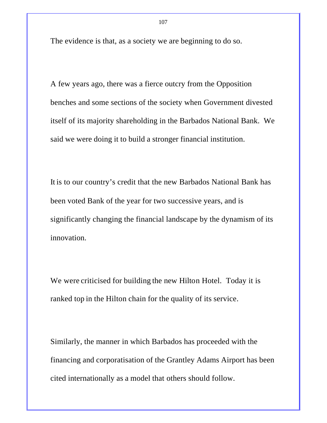The evidence is that, as a society we are beginning to do so.

A few years ago, there was a fierce outcry from the Opposition benches and some sections of the society when Government divested itself of its majority shareholding in the Barbados National Bank. We said we were doing it to build a stronger financial institution.

It is to our country's credit that the new Barbados National Bank has been voted Bank of the year for two successive years, and is significantly changing the financial landscape by the dynamism of its innovation.

We were criticised for building the new Hilton Hotel. Today it is ranked top in the Hilton chain for the quality of its service.

Similarly, the manner in which Barbados has proceeded with the financing and corporatisation of the Grantley Adams Airport has been cited internationally as a model that others should follow.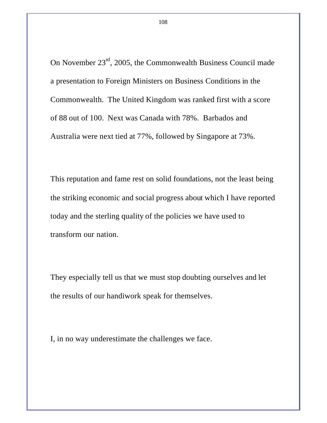On November  $23<sup>rd</sup>$ , 2005, the Commonwealth Business Council made a presentation to Foreign Ministers on Business Conditions in the Commonwealth. The United Kingdom was ranked first with a score of 88 out of 100. Next was Canada with 78%. Barbados and Australia were next tied at 77%, followed by Singapore at 73%.

This reputation and fame rest on solid foundations, not the least being the striking economic and social progress about which I have reported today and the sterling quality of the policies we have used to transform our nation.

They especially tell us that we must stop doubting ourselves and let the results of our handiwork speak for themselves.

I, in no way underestimate the challenges we face.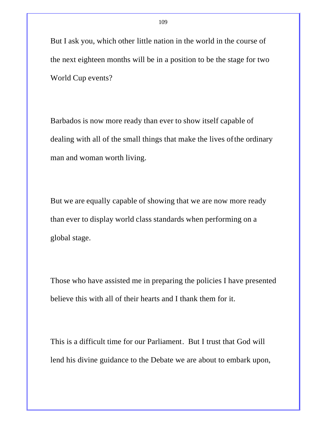But I ask you, which other little nation in the world in the course of the next eighteen months will be in a position to be the stage for two World Cup events?

Barbados is now more ready than ever to show itself capable of dealing with all of the small things that make the lives of the ordinary man and woman worth living.

But we are equally capable of showing that we are now more ready than ever to display world class standards when performing on a global stage.

Those who have assisted me in preparing the policies I have presented believe this with all of their hearts and I thank them for it.

This is a difficult time for our Parliament. But I trust that God will lend his divine guidance to the Debate we are about to embark upon,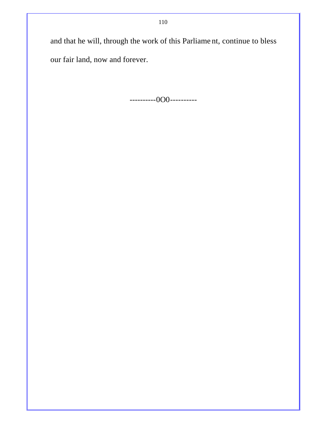and that he will, through the work of this Parliame nt, continue to bless our fair land, now and forever.

----------0O0----------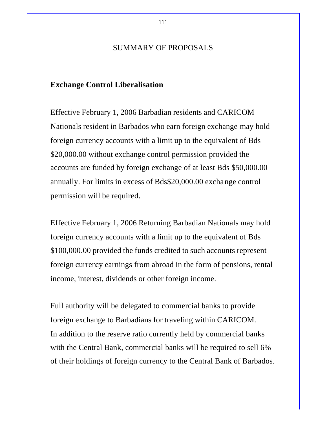# SUMMARY OF PROPOSALS

### **Exchange Control Liberalisation**

Effective February 1, 2006 Barbadian residents and CARICOM Nationals resident in Barbados who earn foreign exchange may hold foreign currency accounts with a limit up to the equivalent of Bds \$20,000.00 without exchange control permission provided the accounts are funded by foreign exchange of at least Bds \$50,000.00 annually. For limits in excess of Bds\$20,000.00 exchange control permission will be required.

Effective February 1, 2006 Returning Barbadian Nationals may hold foreign currency accounts with a limit up to the equivalent of Bds \$100,000.00 provided the funds credited to such accounts represent foreign currency earnings from abroad in the form of pensions, rental income, interest, dividends or other foreign income.

Full authority will be delegated to commercial banks to provide foreign exchange to Barbadians for traveling within CARICOM. In addition to the reserve ratio currently held by commercial banks with the Central Bank, commercial banks will be required to sell 6% of their holdings of foreign currency to the Central Bank of Barbados.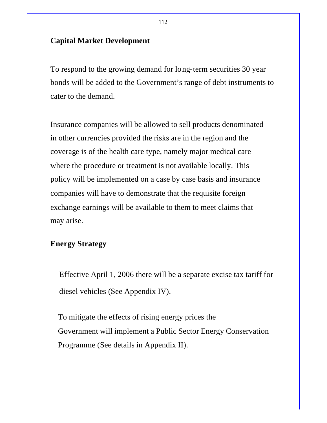# **Capital Market Development**

To respond to the growing demand for long-term securities 30 year bonds will be added to the Government's range of debt instruments to cater to the demand.

Insurance companies will be allowed to sell products denominated in other currencies provided the risks are in the region and the coverage is of the health care type, namely major medical care where the procedure or treatment is not available locally. This policy will be implemented on a case by case basis and insurance companies will have to demonstrate that the requisite foreign exchange earnings will be available to them to meet claims that may arise.

### **Energy Strategy**

Effective April 1, 2006 there will be a separate excise tax tariff for diesel vehicles (See Appendix IV).

To mitigate the effects of rising energy prices the Government will implement a Public Sector Energy Conservation Programme (See details in Appendix II).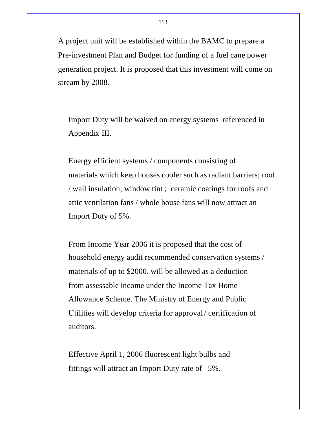A project unit will be established within the BAMC to prepare a Pre-investment Plan and Budget for funding of a fuel cane power generation project. It is proposed that this investment will come on stream by 2008.

Import Duty will be waived on energy systems referenced in Appendix III.

Energy efficient systems / components consisting of materials which keep houses cooler such as radiant barriers; roof / wall insulation; window tint ; ceramic coatings for roofs and attic ventilation fans / whole house fans will now attract an Import Duty of 5%.

From Income Year 2006 it is proposed that the cost of household energy audit recommended conservation systems / materials of up to \$2000. will be allowed as a deduction from assessable income under the Income Tax Home Allowance Scheme. The Ministry of Energy and Public Utilities will develop criteria for approval / certification of auditors.

Effective April 1, 2006 fluorescent light bulbs and fittings will attract an Import Duty rate of 5%.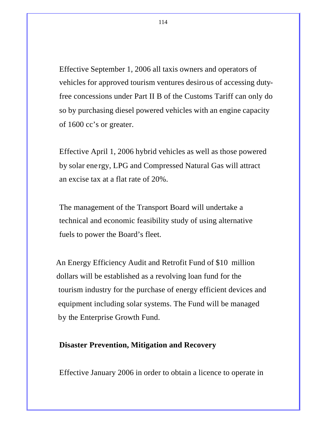Effective September 1, 2006 all taxis owners and operators of vehicles for approved tourism ventures desirous of accessing dutyfree concessions under Part II B of the Customs Tariff can only do so by purchasing diesel powered vehicles with an engine capacity of 1600 cc's or greater.

Effective April 1, 2006 hybrid vehicles as well as those powered by solar ene rgy, LPG and Compressed Natural Gas will attract an excise tax at a flat rate of 20%.

The management of the Transport Board will undertake a technical and economic feasibility study of using alternative fuels to power the Board's fleet.

 An Energy Efficiency Audit and Retrofit Fund of \$10 million dollars will be established as a revolving loan fund for the tourism industry for the purchase of energy efficient devices and equipment including solar systems. The Fund will be managed by the Enterprise Growth Fund.

### **Disaster Prevention, Mitigation and Recovery**

Effective January 2006 in order to obtain a licence to operate in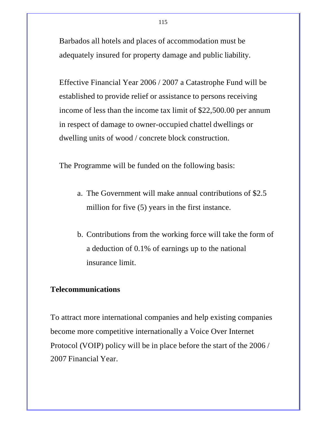Barbados all hotels and places of accommodation must be adequately insured for property damage and public liability.

Effective Financial Year 2006 / 2007 a Catastrophe Fund will be established to provide relief or assistance to persons receiving income of less than the income tax limit of \$22,500.00 per annum in respect of damage to owner-occupied chattel dwellings or dwelling units of wood / concrete block construction.

The Programme will be funded on the following basis:

- a. The Government will make annual contributions of \$2.5 million for five (5) years in the first instance.
- b. Contributions from the working force will take the form of a deduction of 0.1% of earnings up to the national insurance limit.

# **Telecommunications**

To attract more international companies and help existing companies become more competitive internationally a Voice Over Internet Protocol (VOIP) policy will be in place before the start of the 2006 / 2007 Financial Year.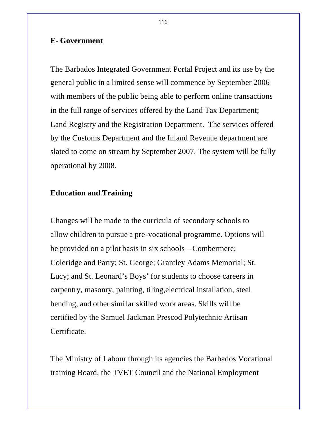### **E- Government**

The Barbados Integrated Government Portal Project and its use by the general public in a limited sense will commence by September 2006 with members of the public being able to perform online transactions in the full range of services offered by the Land Tax Department; Land Registry and the Registration Department. The services offered by the Customs Department and the Inland Revenue department are slated to come on stream by September 2007. The system will be fully operational by 2008.

# **Education and Training**

Changes will be made to the curricula of secondary schools to allow children to pursue a pre -vocational programme. Options will be provided on a pilot basis in six schools – Combermere; Coleridge and Parry; St. George; Grantley Adams Memorial; St. Lucy; and St. Leonard's Boys' for students to choose careers in carpentry, masonry, painting, tiling,electrical installation, steel bending, and other similar skilled work areas. Skills will be certified by the Samuel Jackman Prescod Polytechnic Artisan Certificate.

The Ministry of Labour through its agencies the Barbados Vocational training Board, the TVET Council and the National Employment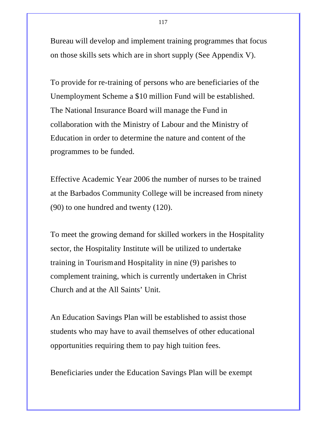Bureau will develop and implement training programmes that focus on those skills sets which are in short supply (See Appendix V).

To provide for re-training of persons who are beneficiaries of the Unemployment Scheme a \$10 million Fund will be established. The National Insurance Board will manage the Fund in collaboration with the Ministry of Labour and the Ministry of Education in order to determine the nature and content of the programmes to be funded.

Effective Academic Year 2006 the number of nurses to be trained at the Barbados Community College will be increased from ninety (90) to one hundred and twenty (120).

To meet the growing demand for skilled workers in the Hospitality sector, the Hospitality Institute will be utilized to undertake training in Tourism and Hospitality in nine (9) parishes to complement training, which is currently undertaken in Christ Church and at the All Saints' Unit.

An Education Savings Plan will be established to assist those students who may have to avail themselves of other educational opportunities requiring them to pay high tuition fees.

Beneficiaries under the Education Savings Plan will be exempt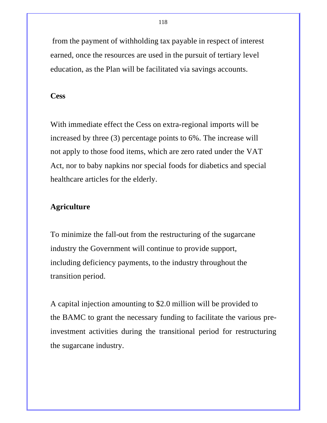from the payment of withholding tax payable in respect of interest earned, once the resources are used in the pursuit of tertiary level education, as the Plan will be facilitated via savings accounts.

#### **Cess**

With immediate effect the Cess on extra-regional imports will be increased by three (3) percentage points to 6%. The increase will not apply to those food items, which are zero rated under the VAT Act, nor to baby napkins nor special foods for diabetics and special healthcare articles for the elderly.

# **Agriculture**

To minimize the fall-out from the restructuring of the sugarcane industry the Government will continue to provide support, including deficiency payments, to the industry throughout the transition period.

A capital injection amounting to \$2.0 million will be provided to the BAMC to grant the necessary funding to facilitate the various preinvestment activities during the transitional period for restructuring the sugarcane industry.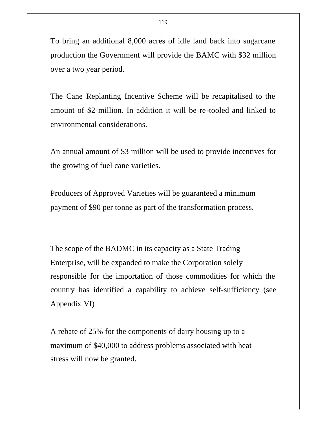To bring an additional 8,000 acres of idle land back into sugarcane production the Government will provide the BAMC with \$32 million over a two year period.

The Cane Replanting Incentive Scheme will be recapitalised to the amount of \$2 million. In addition it will be re -tooled and linked to environmental considerations.

An annual amount of \$3 million will be used to provide incentives for the growing of fuel cane varieties.

Producers of Approved Varieties will be guaranteed a minimum payment of \$90 per tonne as part of the transformation process.

The scope of the BADMC in its capacity as a State Trading Enterprise, will be expanded to make the Corporation solely responsible for the importation of those commodities for which the country has identified a capability to achieve self-sufficiency (see Appendix VI)

A rebate of 25% for the components of dairy housing up to a maximum of \$40,000 to address problems associated with heat stress will now be granted.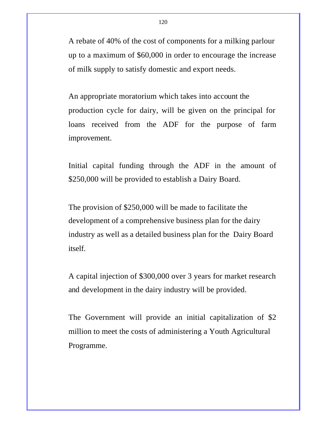A rebate of 40% of the cost of components for a milking parlour up to a maximum of \$60,000 in order to encourage the increase of milk supply to satisfy domestic and export needs.

An appropriate moratorium which takes into account the production cycle for dairy, will be given on the principal for loans received from the ADF for the purpose of farm improvement.

Initial capital funding through the ADF in the amount of \$250,000 will be provided to establish a Dairy Board.

The provision of \$250,000 will be made to facilitate the development of a comprehensive business plan for the dairy industry as well as a detailed business plan for the Dairy Board itself.

A capital injection of \$300,000 over 3 years for market research and development in the dairy industry will be provided.

The Government will provide an initial capitalization of \$2 million to meet the costs of administering a Youth Agricultural Programme.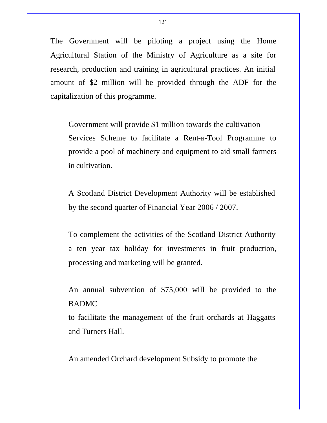The Government will be piloting a project using the Home Agricultural Station of the Ministry of Agriculture as a site for research, production and training in agricultural practices. An initial amount of \$2 million will be provided through the ADF for the capitalization of this programme.

Government will provide \$1 million towards the cultivation Services Scheme to facilitate a Rent-a-Tool Programme to provide a pool of machinery and equipment to aid small farmers in cultivation.

A Scotland District Development Authority will be established by the second quarter of Financial Year 2006 / 2007.

To complement the activities of the Scotland District Authority a ten year tax holiday for investments in fruit production, processing and marketing will be granted.

An annual subvention of \$75,000 will be provided to the BADMC

to facilitate the management of the fruit orchards at Haggatts and Turners Hall.

An amended Orchard development Subsidy to promote the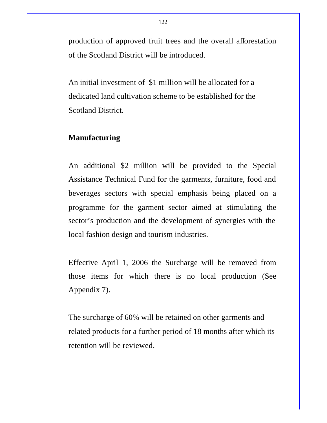production of approved fruit trees and the overall afforestation of the Scotland District will be introduced.

An initial investment of \$1 million will be allocated for a dedicated land cultivation scheme to be established for the Scotland District.

# **Manufacturing**

An additional \$2 million will be provided to the Special Assistance Technical Fund for the garments, furniture, food and beverages sectors with special emphasis being placed on a programme for the garment sector aimed at stimulating the sector's production and the development of synergies with the local fashion design and tourism industries.

Effective April 1, 2006 the Surcharge will be removed from those items for which there is no local production (See Appendix 7).

The surcharge of 60% will be retained on other garments and related products for a further period of 18 months after which its retention will be reviewed.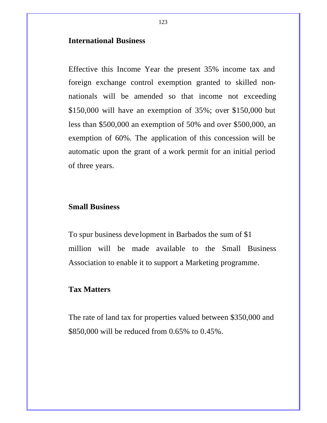### **International Business**

Effective this Income Year the present 35% income tax and foreign exchange control exemption granted to skilled nonnationals will be amended so that income not exceeding \$150,000 will have an exemption of 35%; over \$150,000 but less than \$500,000 an exemption of 50% and over \$500,000, an exemption of 60%. The application of this concession will be automatic upon the grant of a work permit for an initial period of three years.

# **Small Business**

To spur business development in Barbados the sum of \$1 million will be made available to the Small Business Association to enable it to support a Marketing programme.

### **Tax Matters**

The rate of land tax for properties valued between \$350,000 and \$850,000 will be reduced from 0.65% to 0.45%.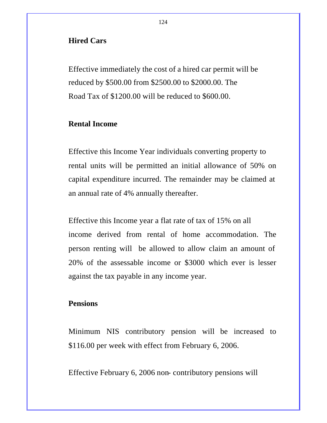### **Hired Cars**

Effective immediately the cost of a hired car permit will be reduced by \$500.00 from \$2500.00 to \$2000.00. The Road Tax of \$1200.00 will be reduced to \$600.00.

### **Rental Income**

Effective this Income Year individuals converting property to rental units will be permitted an initial allowance of 50% on capital expenditure incurred. The remainder may be claimed at an annual rate of 4% annually thereafter.

Effective this Income year a flat rate of tax of 15% on all income derived from rental of home accommodation. The person renting will be allowed to allow claim an amount of 20% of the assessable income or \$3000 which ever is lesser against the tax payable in any income year.

# **Pensions**

Minimum NIS contributory pension will be increased to \$116.00 per week with effect from February 6, 2006.

Effective February 6, 2006 non- contributory pensions will